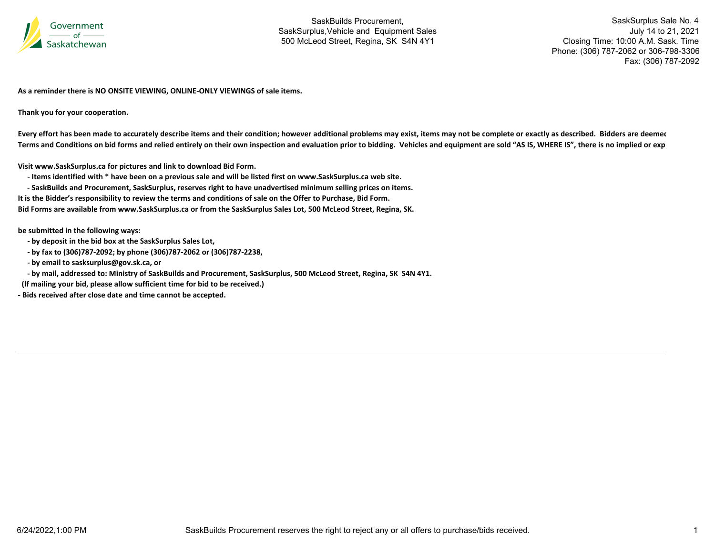

SaskSurplus Sale No. 4 July 14 to 21, 2021 Closing Time: 10:00 A.M. Sask. Time Phone: (306) 787-2062 or 306-798-3306 Fax: (306) 787-2092

**As a reminder there is NO ONSITE VIEWING, ONLINE‐ONLY VIEWINGS of sale items.**

**Thank you for your cooperation.**

Every effort has been made to accurately describe items and their condition; however additional problems may exist, items may not be complete or exactly as described. Bidders are deemer Terms and Conditions on bid forms and relied entirely on their own inspection and evaluation prior to bidding. Vehicles and equipment are sold "AS IS, WHERE IS", there is no implied or exp

**Visit www.SaskSurplus.ca for pictures and link to download Bid Form.**

- Items identified with \* have been on a previous sale and will be listed first on www.SaskSurplus.ca web site.

- SaskBuilds and Procurement, SaskSurplus, reserves right to have unadvertised minimum selling prices on items.

It is the Bidder's responsibility to review the terms and conditions of sale on the Offer to Purchase, Bid Form.

Bid Forms are available from www.SaskSurplus.ca or from the SaskSurplus Sales Lot, 500 McLeod Street, Regina, SK.

**be submitted in the following ways:**

- **‐ by deposit in the bid box at the SaskSurplus Sales Lot,**
- **‐ by fax to (306)787‐2092; by phone (306)787‐2062 or (306)787‐2238,**
- **‐ by email to sasksurplus@gov.sk.ca, or**

- by mail, addressed to: Ministry of SaskBuilds and Procurement, SaskSurplus, 500 McLeod Street, Regina, SK S4N 4Y1.

**(If mailing your bid, please allow sufficient time for bid to be received.)**

**‐ Bids received after close date and time cannot be accepted.**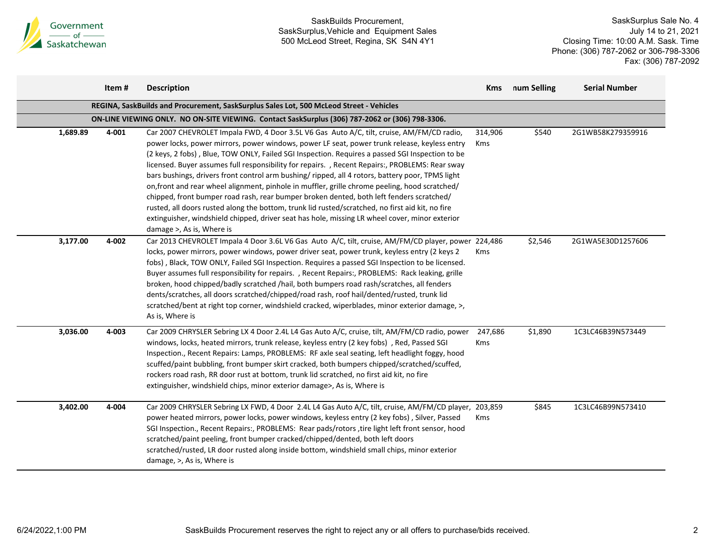

|          | Item# | <b>Description</b>                                                                                                                                                                                                                                                                                                                                                                                                                                                                                                                                                                                                                                                                                                                                                                                                                                                                                                                  | <b>Kms</b>            | num Selling | <b>Serial Number</b> |
|----------|-------|-------------------------------------------------------------------------------------------------------------------------------------------------------------------------------------------------------------------------------------------------------------------------------------------------------------------------------------------------------------------------------------------------------------------------------------------------------------------------------------------------------------------------------------------------------------------------------------------------------------------------------------------------------------------------------------------------------------------------------------------------------------------------------------------------------------------------------------------------------------------------------------------------------------------------------------|-----------------------|-------------|----------------------|
|          |       | REGINA, SaskBuilds and Procurement, SaskSurplus Sales Lot, 500 McLeod Street - Vehicles                                                                                                                                                                                                                                                                                                                                                                                                                                                                                                                                                                                                                                                                                                                                                                                                                                             |                       |             |                      |
|          |       | ON-LINE VIEWING ONLY. NO ON-SITE VIEWING. Contact SaskSurplus (306) 787-2062 or (306) 798-3306.                                                                                                                                                                                                                                                                                                                                                                                                                                                                                                                                                                                                                                                                                                                                                                                                                                     |                       |             |                      |
| 1,689.89 | 4-001 | Car 2007 CHEVROLET Impala FWD, 4 Door 3.5L V6 Gas Auto A/C, tilt, cruise, AM/FM/CD radio,<br>power locks, power mirrors, power windows, power LF seat, power trunk release, keyless entry<br>(2 keys, 2 fobs), Blue, TOW ONLY, Failed SGI Inspection. Requires a passed SGI Inspection to be<br>licensed. Buyer assumes full responsibility for repairs. , Recent Repairs:, PROBLEMS: Rear sway<br>bars bushings, drivers front control arm bushing/ripped, all 4 rotors, battery poor, TPMS light<br>on, front and rear wheel alignment, pinhole in muffler, grille chrome peeling, hood scratched/<br>chipped, front bumper road rash, rear bumper broken dented, both left fenders scratched/<br>rusted, all doors rusted along the bottom, trunk lid rusted/scratched, no first aid kit, no fire<br>extinguisher, windshield chipped, driver seat has hole, missing LR wheel cover, minor exterior<br>damage >, As is, Where is | 314,906<br>Kms        | \$540       | 2G1WB58K279359916    |
| 3,177.00 | 4-002 | Car 2013 CHEVROLET Impala 4 Door 3.6L V6 Gas Auto A/C, tilt, cruise, AM/FM/CD player, power 224,486<br>locks, power mirrors, power windows, power driver seat, power trunk, keyless entry (2 keys 2<br>fobs), Black, TOW ONLY, Failed SGI Inspection. Requires a passed SGI Inspection to be licensed.<br>Buyer assumes full responsibility for repairs. , Recent Repairs:, PROBLEMS: Rack leaking, grille<br>broken, hood chipped/badly scratched /hail, both bumpers road rash/scratches, all fenders<br>dents/scratches, all doors scratched/chipped/road rash, roof hail/dented/rusted, trunk lid<br>scratched/bent at right top corner, windshield cracked, wiperblades, minor exterior damage, >,<br>As is, Where is                                                                                                                                                                                                          | <b>Kms</b>            | \$2,546     | 2G1WA5E30D1257606    |
| 3,036.00 | 4-003 | Car 2009 CHRYSLER Sebring LX 4 Door 2.4L L4 Gas Auto A/C, cruise, tilt, AM/FM/CD radio, power<br>windows, locks, heated mirrors, trunk release, keyless entry (2 key fobs), Red, Passed SGI<br>Inspection., Recent Repairs: Lamps, PROBLEMS: RF axle seal seating, left headlight foggy, hood<br>scuffed/paint bubbling, front bumper skirt cracked, both bumpers chipped/scratched/scuffed,<br>rockers road rash, RR door rust at bottom, trunk lid scratched, no first aid kit, no fire<br>extinguisher, windshield chips, minor exterior damage>, As is, Where is                                                                                                                                                                                                                                                                                                                                                                | 247,686<br><b>Kms</b> | \$1,890     | 1C3LC46B39N573449    |
| 3,402.00 | 4-004 | Car 2009 CHRYSLER Sebring LX FWD, 4 Door 2.4L L4 Gas Auto A/C, tilt, cruise, AM/FM/CD player, 203,859<br>power heated mirrors, power locks, power windows, keyless entry (2 key fobs), Silver, Passed<br>SGI Inspection., Recent Repairs:, PROBLEMS: Rear pads/rotors , tire light left front sensor, hood<br>scratched/paint peeling, front bumper cracked/chipped/dented, both left doors<br>scratched/rusted, LR door rusted along inside bottom, windshield small chips, minor exterior<br>damage, >, As is, Where is                                                                                                                                                                                                                                                                                                                                                                                                           | <b>Kms</b>            | \$845       | 1C3LC46B99N573410    |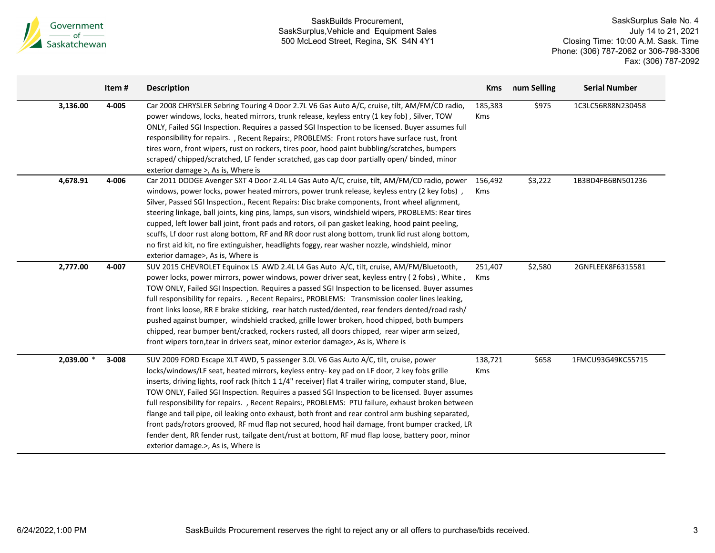

|            | Item#     | <b>Description</b>                                                                                                                                                                                                                                                                                                                                                                                                                                                                                                                                                                                                                                                                                                                                                                                                                                      | <b>Kms</b>            | num Selling | <b>Serial Number</b> |
|------------|-----------|---------------------------------------------------------------------------------------------------------------------------------------------------------------------------------------------------------------------------------------------------------------------------------------------------------------------------------------------------------------------------------------------------------------------------------------------------------------------------------------------------------------------------------------------------------------------------------------------------------------------------------------------------------------------------------------------------------------------------------------------------------------------------------------------------------------------------------------------------------|-----------------------|-------------|----------------------|
| 3,136.00   | 4-005     | Car 2008 CHRYSLER Sebring Touring 4 Door 2.7L V6 Gas Auto A/C, cruise, tilt, AM/FM/CD radio,<br>power windows, locks, heated mirrors, trunk release, keyless entry (1 key fob), Silver, TOW<br>ONLY, Failed SGI Inspection. Requires a passed SGI Inspection to be licensed. Buyer assumes full<br>responsibility for repairs., Recent Repairs:, PROBLEMS: Front rotors have surface rust, front<br>tires worn, front wipers, rust on rockers, tires poor, hood paint bubbling/scratches, bumpers<br>scraped/ chipped/scratched, LF fender scratched, gas cap door partially open/ binded, minor<br>exterior damage >, As is, Where is                                                                                                                                                                                                                  | 185,383<br>Kms        | \$975       | 1C3LC56R88N230458    |
| 4,678.91   | 4-006     | Car 2011 DODGE Avenger SXT 4 Door 2.4L L4 Gas Auto A/C, cruise, tilt, AM/FM/CD radio, power<br>windows, power locks, power heated mirrors, power trunk release, keyless entry (2 key fobs),<br>Silver, Passed SGI Inspection., Recent Repairs: Disc brake components, front wheel alignment,<br>steering linkage, ball joints, king pins, lamps, sun visors, windshield wipers, PROBLEMS: Rear tires<br>cupped, left lower ball joint, front pads and rotors, oil pan gasket leaking, hood paint peeling,<br>scuffs, Lf door rust along bottom, RF and RR door rust along bottom, trunk lid rust along bottom,<br>no first aid kit, no fire extinguisher, headlights foggy, rear washer nozzle, windshield, minor<br>exterior damage>, As is, Where is                                                                                                  | 156,492<br><b>Kms</b> | \$3,222     | 1B3BD4FB6BN501236    |
| 2,777.00   | 4-007     | SUV 2015 CHEVROLET Equinox LS AWD 2.4L L4 Gas Auto A/C, tilt, cruise, AM/FM/Bluetooth,<br>power locks, power mirrors, power windows, power driver seat, keyless entry (2 fobs), White,<br>TOW ONLY, Failed SGI Inspection. Requires a passed SGI Inspection to be licensed. Buyer assumes<br>full responsibility for repairs., Recent Repairs:, PROBLEMS: Transmission cooler lines leaking,<br>front links loose, RR E brake sticking, rear hatch rusted/dented, rear fenders dented/road rash/<br>pushed against bumper, windshield cracked, grille lower broken, hood chipped, both bumpers<br>chipped, rear bumper bent/cracked, rockers rusted, all doors chipped, rear wiper arm seized,<br>front wipers torn, tear in drivers seat, minor exterior damage>, As is, Where is                                                                      | 251,407<br>Kms        | \$2,580     | 2GNFLEEK8F6315581    |
| 2,039.00 * | $3 - 008$ | SUV 2009 FORD Escape XLT 4WD, 5 passenger 3.0L V6 Gas Auto A/C, tilt, cruise, power<br>locks/windows/LF seat, heated mirrors, keyless entry- key pad on LF door, 2 key fobs grille<br>inserts, driving lights, roof rack (hitch 1 1/4" receiver) flat 4 trailer wiring, computer stand, Blue,<br>TOW ONLY, Failed SGI Inspection. Requires a passed SGI Inspection to be licensed. Buyer assumes<br>full responsibility for repairs., Recent Repairs:, PROBLEMS: PTU failure, exhaust broken between<br>flange and tail pipe, oil leaking onto exhaust, both front and rear control arm bushing separated,<br>front pads/rotors grooved, RF mud flap not secured, hood hail damage, front bumper cracked, LR<br>fender dent, RR fender rust, tailgate dent/rust at bottom, RF mud flap loose, battery poor, minor<br>exterior damage.>, As is, Where is | 138,721<br><b>Kms</b> | \$658       | 1FMCU93G49KC55715    |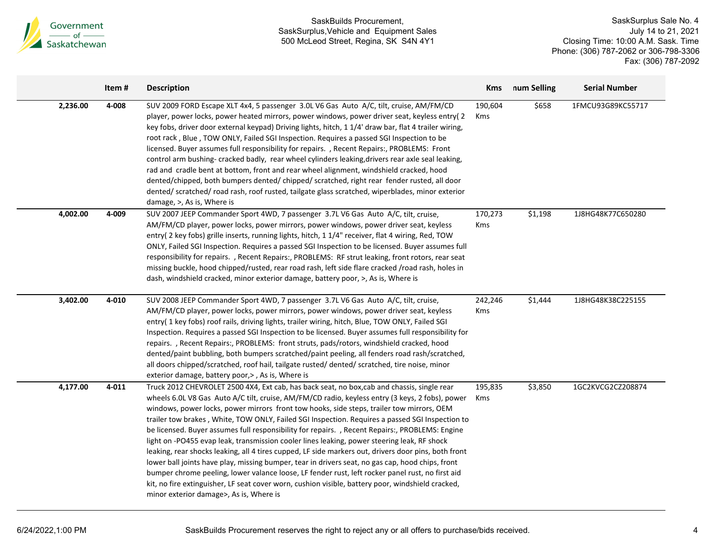

|          | Item# | <b>Description</b>                                                                                                                                                                                                                                                                                                                                                                                                                                                                                                                                                                                                                                                                                                                                                                                                                                                                                                                                                                                                                                               | Kms                   | num Selling | <b>Serial Number</b> |
|----------|-------|------------------------------------------------------------------------------------------------------------------------------------------------------------------------------------------------------------------------------------------------------------------------------------------------------------------------------------------------------------------------------------------------------------------------------------------------------------------------------------------------------------------------------------------------------------------------------------------------------------------------------------------------------------------------------------------------------------------------------------------------------------------------------------------------------------------------------------------------------------------------------------------------------------------------------------------------------------------------------------------------------------------------------------------------------------------|-----------------------|-------------|----------------------|
| 2,236.00 | 4-008 | SUV 2009 FORD Escape XLT 4x4, 5 passenger 3.0L V6 Gas Auto A/C, tilt, cruise, AM/FM/CD<br>player, power locks, power heated mirrors, power windows, power driver seat, keyless entry(2<br>key fobs, driver door external keypad) Driving lights, hitch, 1 1/4' draw bar, flat 4 trailer wiring,<br>root rack, Blue, TOW ONLY, Failed SGI Inspection. Requires a passed SGI Inspection to be<br>licensed. Buyer assumes full responsibility for repairs. , Recent Repairs:, PROBLEMS: Front<br>control arm bushing-cracked badly, rear wheel cylinders leaking, drivers rear axle seal leaking,<br>rad and cradle bent at bottom, front and rear wheel alignment, windshield cracked, hood<br>dented/chipped, both bumpers dented/chipped/ scratched, right rear fender rusted, all door<br>dented/ scratched/ road rash, roof rusted, tailgate glass scratched, wiperblades, minor exterior<br>damage, $>$ , As is, Where is                                                                                                                                     | 190,604<br>Kms        | \$658       | 1FMCU93G89KC55717    |
| 4,002.00 | 4-009 | SUV 2007 JEEP Commander Sport 4WD, 7 passenger 3.7L V6 Gas Auto A/C, tilt, cruise,<br>AM/FM/CD player, power locks, power mirrors, power windows, power driver seat, keyless<br>entry( 2 key fobs) grille inserts, running lights, hitch, 1 1/4" receiver, flat 4 wiring, Red, TOW<br>ONLY, Failed SGI Inspection. Requires a passed SGI Inspection to be licensed. Buyer assumes full<br>responsibility for repairs., Recent Repairs:, PROBLEMS: RF strut leaking, front rotors, rear seat<br>missing buckle, hood chipped/rusted, rear road rash, left side flare cracked /road rash, holes in<br>dash, windshield cracked, minor exterior damage, battery poor, >, As is, Where is                                                                                                                                                                                                                                                                                                                                                                            | 170,273<br>Kms        | \$1,198     | 1J8HG48K77C650280    |
| 3,402.00 | 4-010 | SUV 2008 JEEP Commander Sport 4WD, 7 passenger 3.7L V6 Gas Auto A/C, tilt, cruise,<br>AM/FM/CD player, power locks, power mirrors, power windows, power driver seat, keyless<br>entry( 1 key fobs) roof rails, driving lights, trailer wiring, hitch, Blue, TOW ONLY, Failed SGI<br>Inspection. Requires a passed SGI Inspection to be licensed. Buyer assumes full responsibility for<br>repairs., Recent Repairs:, PROBLEMS: front struts, pads/rotors, windshield cracked, hood<br>dented/paint bubbling, both bumpers scratched/paint peeling, all fenders road rash/scratched,<br>all doors chipped/scratched, roof hail, tailgate rusted/ dented/ scratched, tire noise, minor<br>exterior damage, battery poor, >, As is, Where is                                                                                                                                                                                                                                                                                                                        | 242,246<br><b>Kms</b> | \$1,444     | 1J8HG48K38C225155    |
| 4,177.00 | 4-011 | Truck 2012 CHEVROLET 2500 4X4, Ext cab, has back seat, no box, cab and chassis, single rear<br>wheels 6.0L V8 Gas Auto A/C tilt, cruise, AM/FM/CD radio, keyless entry (3 keys, 2 fobs), power<br>windows, power locks, power mirrors front tow hooks, side steps, trailer tow mirrors, OEM<br>trailer tow brakes, White, TOW ONLY, Failed SGI Inspection. Requires a passed SGI Inspection to<br>be licensed. Buyer assumes full responsibility for repairs. , Recent Repairs:, PROBLEMS: Engine<br>light on -PO455 evap leak, transmission cooler lines leaking, power steering leak, RF shock<br>leaking, rear shocks leaking, all 4 tires cupped, LF side markers out, drivers door pins, both front<br>lower ball joints have play, missing bumper, tear in drivers seat, no gas cap, hood chips, front<br>bumper chrome peeling, lower valance loose, LF fender rust, left rocker panel rust, no first aid<br>kit, no fire extinguisher, LF seat cover worn, cushion visible, battery poor, windshield cracked,<br>minor exterior damage>, As is, Where is | 195,835<br>Kms        | \$3,850     | 1GC2KVCG2CZ208874    |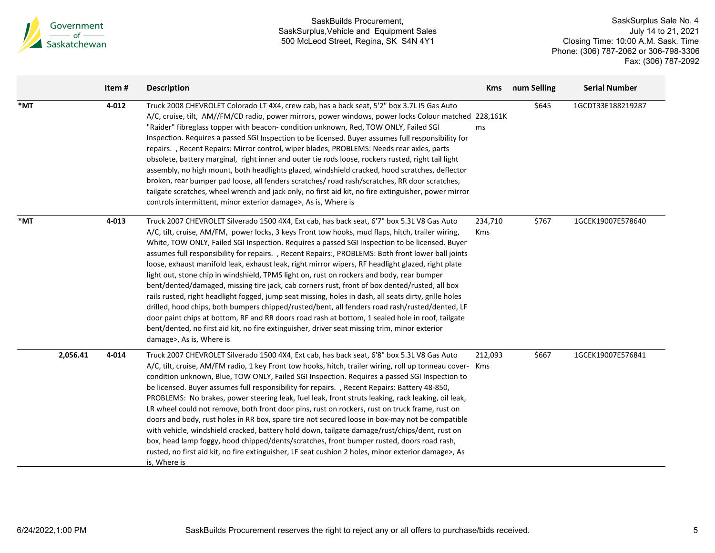

|     |          | Item# | <b>Description</b>                                                                                                                                                                                                                                                                                                                                                                                                                                                                                                                                                                                                                                                                                                                                                                                                                                                                                                                                                                                                                                                                                                                                   | <b>Kms</b>            | num Selling | <b>Serial Number</b> |
|-----|----------|-------|------------------------------------------------------------------------------------------------------------------------------------------------------------------------------------------------------------------------------------------------------------------------------------------------------------------------------------------------------------------------------------------------------------------------------------------------------------------------------------------------------------------------------------------------------------------------------------------------------------------------------------------------------------------------------------------------------------------------------------------------------------------------------------------------------------------------------------------------------------------------------------------------------------------------------------------------------------------------------------------------------------------------------------------------------------------------------------------------------------------------------------------------------|-----------------------|-------------|----------------------|
| *MT |          | 4-012 | Truck 2008 CHEVROLET Colorado LT 4X4, crew cab, has a back seat, 5'2" box 3.7L I5 Gas Auto<br>A/C, cruise, tilt, AM//FM/CD radio, power mirrors, power windows, power locks Colour matched 228,161K<br>"Raider" fibreglass topper with beacon-condition unknown, Red, TOW ONLY, Failed SGI<br>Inspection. Requires a passed SGI Inspection to be licensed. Buyer assumes full responsibility for<br>repairs., Recent Repairs: Mirror control, wiper blades, PROBLEMS: Needs rear axles, parts<br>obsolete, battery marginal, right inner and outer tie rods loose, rockers rusted, right tail light<br>assembly, no high mount, both headlights glazed, windshield cracked, hood scratches, deflector<br>broken, rear bumper pad loose, all fenders scratches/road rash/scratches, RR door scratches,<br>tailgate scratches, wheel wrench and jack only, no first aid kit, no fire extinguisher, power mirror<br>controls intermittent, minor exterior damage>, As is, Where is                                                                                                                                                                      | ms                    | \$645       | 1GCDT33E188219287    |
| *MT |          | 4-013 | Truck 2007 CHEVROLET Silverado 1500 4X4, Ext cab, has back seat, 6'7" box 5.3L V8 Gas Auto<br>A/C, tilt, cruise, AM/FM, power locks, 3 keys Front tow hooks, mud flaps, hitch, trailer wiring,<br>White, TOW ONLY, Failed SGI Inspection. Requires a passed SGI Inspection to be licensed. Buyer<br>assumes full responsibility for repairs., Recent Repairs:, PROBLEMS: Both front lower ball joints<br>loose, exhaust manifold leak, exhaust leak, right mirror wipers, RF headlight glazed, right plate<br>light out, stone chip in windshield, TPMS light on, rust on rockers and body, rear bumper<br>bent/dented/damaged, missing tire jack, cab corners rust, front of box dented/rusted, all box<br>rails rusted, right headlight fogged, jump seat missing, holes in dash, all seats dirty, grille holes<br>drilled, hood chips, both bumpers chipped/rusted/bent, all fenders road rash/rusted/dented, LF<br>door paint chips at bottom, RF and RR doors road rash at bottom, 1 sealed hole in roof, tailgate<br>bent/dented, no first aid kit, no fire extinguisher, driver seat missing trim, minor exterior<br>damage>, As is, Where is | 234,710<br><b>Kms</b> | \$767       | 1GCEK19007E578640    |
|     | 2,056.41 | 4-014 | Truck 2007 CHEVROLET Silverado 1500 4X4, Ext cab, has back seat, 6'8" box 5.3L V8 Gas Auto<br>A/C, tilt, cruise, AM/FM radio, 1 key Front tow hooks, hitch, trailer wiring, roll up tonneau cover- Kms<br>condition unknown, Blue, TOW ONLY, Failed SGI Inspection. Requires a passed SGI Inspection to<br>be licensed. Buyer assumes full responsibility for repairs. , Recent Repairs: Battery 48-850,<br>PROBLEMS: No brakes, power steering leak, fuel leak, front struts leaking, rack leaking, oil leak,<br>LR wheel could not remove, both front door pins, rust on rockers, rust on truck frame, rust on<br>doors and body, rust holes in RR box, spare tire not secured loose in box-may not be compatible<br>with vehicle, windshield cracked, battery hold down, tailgate damage/rust/chips/dent, rust on<br>box, head lamp foggy, hood chipped/dents/scratches, front bumper rusted, doors road rash,<br>rusted, no first aid kit, no fire extinguisher, LF seat cushion 2 holes, minor exterior damage>, As<br>is, Where is                                                                                                             | 212,093               | \$667       | 1GCEK19007E576841    |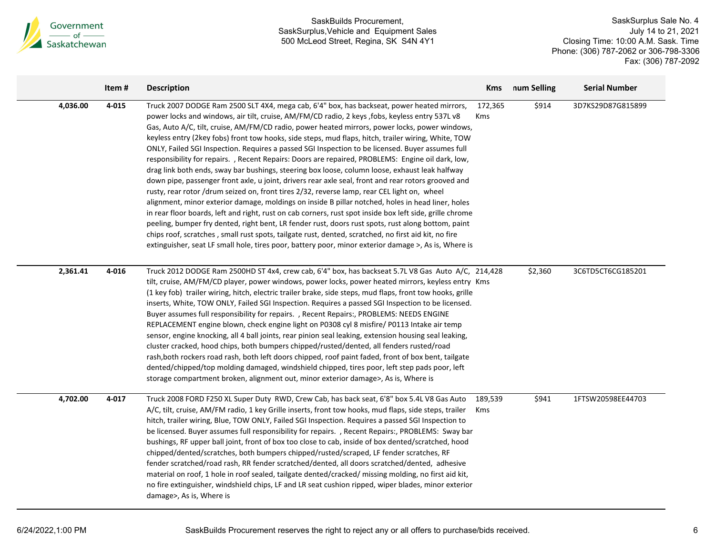

|          | Item# | <b>Description</b>                                                                                                                                                                                                                                                                                                                                                                                                                                                                                                                                                                                                                                                                                                                                                                                                                                                                                                                                                                                                                                                                                                                                                                                                                                                                                                                                                                                                                                             | <b>Kms</b>            | num Selling | <b>Serial Number</b> |
|----------|-------|----------------------------------------------------------------------------------------------------------------------------------------------------------------------------------------------------------------------------------------------------------------------------------------------------------------------------------------------------------------------------------------------------------------------------------------------------------------------------------------------------------------------------------------------------------------------------------------------------------------------------------------------------------------------------------------------------------------------------------------------------------------------------------------------------------------------------------------------------------------------------------------------------------------------------------------------------------------------------------------------------------------------------------------------------------------------------------------------------------------------------------------------------------------------------------------------------------------------------------------------------------------------------------------------------------------------------------------------------------------------------------------------------------------------------------------------------------------|-----------------------|-------------|----------------------|
| 4,036.00 | 4-015 | Truck 2007 DODGE Ram 2500 SLT 4X4, mega cab, 6'4" box, has backseat, power heated mirrors,<br>power locks and windows, air tilt, cruise, AM/FM/CD radio, 2 keys , fobs, keyless entry 537L v8<br>Gas, Auto A/C, tilt, cruise, AM/FM/CD radio, power heated mirrors, power locks, power windows,<br>keyless entry (2key fobs) front tow hooks, side steps, mud flaps, hitch, trailer wiring, White, TOW<br>ONLY, Failed SGI Inspection. Requires a passed SGI Inspection to be licensed. Buyer assumes full<br>responsibility for repairs. , Recent Repairs: Doors are repaired, PROBLEMS: Engine oil dark, low,<br>drag link both ends, sway bar bushings, steering box loose, column loose, exhaust leak halfway<br>down pipe, passenger front axle, u joint, drivers rear axle seal, front and rear rotors grooved and<br>rusty, rear rotor /drum seized on, front tires 2/32, reverse lamp, rear CEL light on, wheel<br>alignment, minor exterior damage, moldings on inside B pillar notched, holes in head liner, holes<br>in rear floor boards, left and right, rust on cab corners, rust spot inside box left side, grille chrome<br>peeling, bumper fry dented, right bent, LR fender rust, doors rust spots, rust along bottom, paint<br>chips roof, scratches, small rust spots, tailgate rust, dented, scratched, no first aid kit, no fire<br>extinguisher, seat LF small hole, tires poor, battery poor, minor exterior damage >, As is, Where is | 172,365<br><b>Kms</b> | \$914       | 3D7KS29D87G815899    |
| 2,361.41 | 4-016 | Truck 2012 DODGE Ram 2500HD ST 4x4, crew cab, 6'4" box, has backseat 5.7L V8 Gas Auto A/C, 214,428<br>tilt, cruise, AM/FM/CD player, power windows, power locks, power heated mirrors, keyless entry Kms<br>(1 key fob) trailer wiring, hitch, electric trailer brake, side steps, mud flaps, front tow hooks, grille<br>inserts, White, TOW ONLY, Failed SGI Inspection. Requires a passed SGI Inspection to be licensed.<br>Buyer assumes full responsibility for repairs. , Recent Repairs:, PROBLEMS: NEEDS ENGINE<br>REPLACEMENT engine blown, check engine light on P0308 cyl 8 misfire/ P0113 Intake air temp<br>sensor, engine knocking, all 4 ball joints, rear pinion seal leaking, extension housing seal leaking,<br>cluster cracked, hood chips, both bumpers chipped/rusted/dented, all fenders rusted/road<br>rash, both rockers road rash, both left doors chipped, roof paint faded, front of box bent, tailgate<br>dented/chipped/top molding damaged, windshield chipped, tires poor, left step pads poor, left<br>storage compartment broken, alignment out, minor exterior damage>, As is, Where is                                                                                                                                                                                                                                                                                                                                       |                       | \$2,360     | 3C6TD5CT6CG185201    |
| 4,702.00 | 4-017 | Truck 2008 FORD F250 XL Super Duty RWD, Crew Cab, has back seat, 6'8" box 5.4L V8 Gas Auto<br>A/C, tilt, cruise, AM/FM radio, 1 key Grille inserts, front tow hooks, mud flaps, side steps, trailer<br>hitch, trailer wiring, Blue, TOW ONLY, Failed SGI Inspection. Requires a passed SGI Inspection to<br>be licensed. Buyer assumes full responsibility for repairs. , Recent Repairs:, PROBLEMS: Sway bar<br>bushings, RF upper ball joint, front of box too close to cab, inside of box dented/scratched, hood<br>chipped/dented/scratches, both bumpers chipped/rusted/scraped, LF fender scratches, RF<br>fender scratched/road rash, RR fender scratched/dented, all doors scratched/dented, adhesive<br>material on roof, 1 hole in roof sealed, tailgate dented/cracked/ missing molding, no first aid kit,<br>no fire extinguisher, windshield chips, LF and LR seat cushion ripped, wiper blades, minor exterior<br>damage>, As is, Where is                                                                                                                                                                                                                                                                                                                                                                                                                                                                                                       | 189,539<br>Kms        | \$941       | 1FTSW20598EE44703    |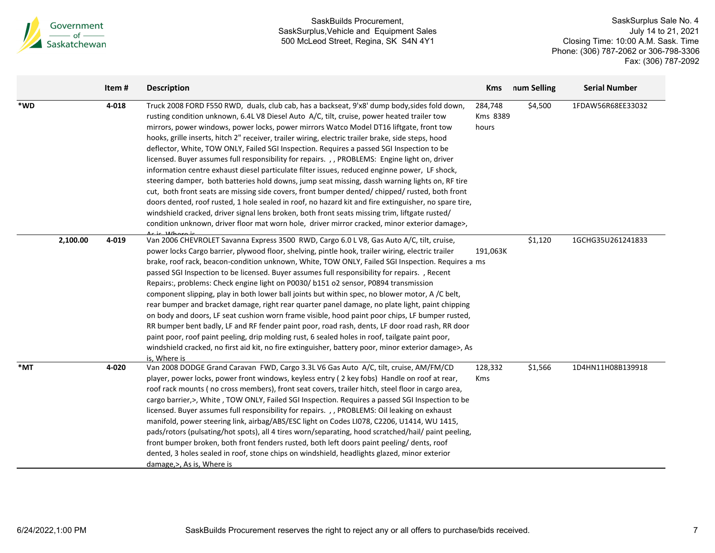

|     |          | Item# | <b>Description</b>                                                                                                                                                                                                                                                                                                                                                                                                                                                                                                                                                                                                                                                                                                                                                                                                                                                                                                                                                                                                                                                                                                                                                                                          | <b>Kms</b>                   | num Selling | <b>Serial Number</b> |
|-----|----------|-------|-------------------------------------------------------------------------------------------------------------------------------------------------------------------------------------------------------------------------------------------------------------------------------------------------------------------------------------------------------------------------------------------------------------------------------------------------------------------------------------------------------------------------------------------------------------------------------------------------------------------------------------------------------------------------------------------------------------------------------------------------------------------------------------------------------------------------------------------------------------------------------------------------------------------------------------------------------------------------------------------------------------------------------------------------------------------------------------------------------------------------------------------------------------------------------------------------------------|------------------------------|-------------|----------------------|
| *WD |          | 4-018 | Truck 2008 FORD F550 RWD, duals, club cab, has a backseat, 9'x8' dump body, sides fold down,<br>rusting condition unknown, 6.4L V8 Diesel Auto A/C, tilt, cruise, power heated trailer tow<br>mirrors, power windows, power locks, power mirrors Watco Model DT16 liftgate, front tow<br>hooks, grille inserts, hitch 2" receiver, trailer wiring, electric trailer brake, side steps, hood<br>deflector, White, TOW ONLY, Failed SGI Inspection. Requires a passed SGI Inspection to be<br>licensed. Buyer assumes full responsibility for repairs. , , PROBLEMS: Engine light on, driver<br>information centre exhaust diesel particulate filter issues, reduced enginne power, LF shock,<br>steering damper, both batteries hold downs, jump seat missing, dassh warning lights on, RF tire<br>cut, both front seats are missing side covers, front bumper dented/chipped/rusted, both front<br>doors dented, roof rusted, 1 hole sealed in roof, no hazard kit and fire extinguisher, no spare tire,<br>windshield cracked, driver signal lens broken, both front seats missing trim, liftgate rusted/<br>condition unknown, driver floor mat worn hole, driver mirror cracked, minor exterior damage>, | 284,748<br>Kms 8389<br>hours | \$4,500     | 1FDAW56R68EE33032    |
|     | 2,100.00 | 4-019 | Van 2006 CHEVROLET Savanna Express 3500 RWD, Cargo 6.0 L V8, Gas Auto A/C, tilt, cruise,<br>power locks Cargo barrier, plywood floor, shelving, pintle hook, trailer wiring, electric trailer<br>brake, roof rack, beacon-condition unknown, White, TOW ONLY, Failed SGI Inspection. Requires a ms<br>passed SGI Inspection to be licensed. Buyer assumes full responsibility for repairs. , Recent<br>Repairs:, problems: Check engine light on P0030/ b151 o2 sensor, P0894 transmission<br>component slipping, play in both lower ball joints but within spec, no blower motor, A /C belt,<br>rear bumper and bracket damage, right rear quarter panel damage, no plate light, paint chipping<br>on body and doors, LF seat cushion worn frame visible, hood paint poor chips, LF bumper rusted,<br>RR bumper bent badly, LF and RF fender paint poor, road rash, dents, LF door road rash, RR door<br>paint poor, roof paint peeling, drip molding rust, 6 sealed holes in roof, tailgate paint poor,<br>windshield cracked, no first aid kit, no fire extinguisher, battery poor, minor exterior damage>, As<br>is, Where is                                                                           | 191,063K                     | \$1,120     | 1GCHG35U261241833    |
| *MT |          | 4-020 | Van 2008 DODGE Grand Caravan FWD, Cargo 3.3L V6 Gas Auto A/C, tilt, cruise, AM/FM/CD<br>player, power locks, power front windows, keyless entry (2 key fobs) Handle on roof at rear,<br>roof rack mounts (no cross members), front seat covers, trailer hitch, steel floor in cargo area,<br>cargo barrier,>, White, TOW ONLY, Failed SGI Inspection. Requires a passed SGI Inspection to be<br>licensed. Buyer assumes full responsibility for repairs. , , PROBLEMS: Oil leaking on exhaust<br>manifold, power steering link, airbag/ABS/ESC light on Codes LI078, C2206, U1414, WU 1415,<br>pads/rotors (pulsating/hot spots), all 4 tires worn/separating, hood scratched/hail/ paint peeling,<br>front bumper broken, both front fenders rusted, both left doors paint peeling/dents, roof<br>dented, 3 holes sealed in roof, stone chips on windshield, headlights glazed, minor exterior<br>damage, >, As is, Where is                                                                                                                                                                                                                                                                               | 128,332<br><b>Kms</b>        | \$1,566     | 1D4HN11H08B139918    |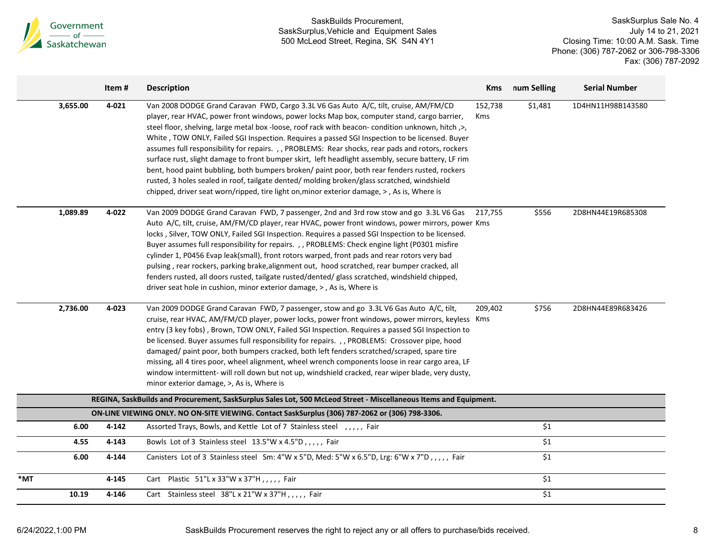

|     |          | Item#     | <b>Description</b>                                                                                                                                                                                                                                                                                                                                                                                                                                                                                                                                                                                                                                                                                                                                                                                                                                                                                | Kms                   | num Selling      | <b>Serial Number</b> |
|-----|----------|-----------|---------------------------------------------------------------------------------------------------------------------------------------------------------------------------------------------------------------------------------------------------------------------------------------------------------------------------------------------------------------------------------------------------------------------------------------------------------------------------------------------------------------------------------------------------------------------------------------------------------------------------------------------------------------------------------------------------------------------------------------------------------------------------------------------------------------------------------------------------------------------------------------------------|-----------------------|------------------|----------------------|
|     | 3,655.00 | $4 - 021$ | Van 2008 DODGE Grand Caravan FWD, Cargo 3.3L V6 Gas Auto A/C, tilt, cruise, AM/FM/CD<br>player, rear HVAC, power front windows, power locks Map box, computer stand, cargo barrier,<br>steel floor, shelving, large metal box-loose, roof rack with beacon-condition unknown, hitch, >,<br>White , TOW ONLY, Failed SGI Inspection. Requires a passed SGI Inspection to be licensed. Buyer<br>assumes full responsibility for repairs., , PROBLEMS: Rear shocks, rear pads and rotors, rockers<br>surface rust, slight damage to front bumper skirt, left headlight assembly, secure battery, LF rim<br>bent, hood paint bubbling, both bumpers broken/ paint poor, both rear fenders rusted, rockers<br>rusted, 3 holes sealed in roof, tailgate dented/molding broken/glass scratched, windshield<br>chipped, driver seat worn/ripped, tire light on, minor exterior damage, >, As is, Where is | 152,738<br><b>Kms</b> | \$1,481          | 1D4HN11H98B143580    |
|     | 1,089.89 | 4-022     | Van 2009 DODGE Grand Caravan FWD, 7 passenger, 2nd and 3rd row stow and go 3.3L V6 Gas<br>Auto A/C, tilt, cruise, AM/FM/CD player, rear HVAC, power front windows, power mirrors, power Kms<br>locks, Silver, TOW ONLY, Failed SGI Inspection. Requires a passed SGI Inspection to be licensed.<br>Buyer assumes full responsibility for repairs. , , PROBLEMS: Check engine light (P0301 misfire<br>cylinder 1, P0456 Evap leak(small), front rotors warped, front pads and rear rotors very bad<br>pulsing, rear rockers, parking brake, alignment out, hood scratched, rear bumper cracked, all<br>fenders rusted, all doors rusted, tailgate rusted/dented/ glass scratched, windshield chipped,<br>driver seat hole in cushion, minor exterior damage, >, As is, Where is                                                                                                                    | 217,755               | \$556            | 2D8HN44E19R685308    |
|     | 2,736.00 | 4-023     | Van 2009 DODGE Grand Caravan FWD, 7 passenger, stow and go 3.3L V6 Gas Auto A/C, tilt,<br>cruise, rear HVAC, AM/FM/CD player, power locks, power front windows, power mirrors, keyless Kms<br>entry (3 key fobs), Brown, TOW ONLY, Failed SGI Inspection. Requires a passed SGI Inspection to<br>be licensed. Buyer assumes full responsibility for repairs. , , PROBLEMS: Crossover pipe, hood<br>damaged/ paint poor, both bumpers cracked, both left fenders scratched/scraped, spare tire<br>missing, all 4 tires poor, wheel alignment, wheel wrench components loose in rear cargo area, LF<br>window intermittent- will roll down but not up, windshield cracked, rear wiper blade, very dusty,<br>minor exterior damage, >, As is, Where is                                                                                                                                               | 209,402               | \$756            | 2D8HN44E89R683426    |
|     |          |           | REGINA, SaskBuilds and Procurement, SaskSurplus Sales Lot, 500 McLeod Street - Miscellaneous Items and Equipment.                                                                                                                                                                                                                                                                                                                                                                                                                                                                                                                                                                                                                                                                                                                                                                                 |                       |                  |                      |
|     |          |           | ON-LINE VIEWING ONLY. NO ON-SITE VIEWING. Contact SaskSurplus (306) 787-2062 or (306) 798-3306.                                                                                                                                                                                                                                                                                                                                                                                                                                                                                                                                                                                                                                                                                                                                                                                                   |                       |                  |                      |
|     | 6.00     | 4-142     | Assorted Trays, Bowls, and Kettle Lot of 7 Stainless steel ,,,,, Fair                                                                                                                                                                                                                                                                                                                                                                                                                                                                                                                                                                                                                                                                                                                                                                                                                             |                       | \$1              |                      |
|     | 4.55     | 4-143     | Bowls Lot of 3 Stainless steel 13.5"W x 4.5"D,,,,, Fair                                                                                                                                                                                                                                                                                                                                                                                                                                                                                                                                                                                                                                                                                                                                                                                                                                           |                       | \$1              |                      |
|     | 6.00     | 4-144     | Canisters Lot of 3 Stainless steel Sm: 4"W x 5"D, Med: 5"W x 6.5"D, Lrg: 6"W x 7"D,,,,, Fair                                                                                                                                                                                                                                                                                                                                                                                                                                                                                                                                                                                                                                                                                                                                                                                                      |                       | \$1              |                      |
| *MT |          | 4-145     | Cart Plastic 51"L x 33"W x 37"H,,,,, Fair                                                                                                                                                                                                                                                                                                                                                                                                                                                                                                                                                                                                                                                                                                                                                                                                                                                         |                       | \$1              |                      |
|     | 10.19    | 4-146     | Cart Stainless steel 38"L x 21"W x 37"H,,,,, Fair                                                                                                                                                                                                                                                                                                                                                                                                                                                                                                                                                                                                                                                                                                                                                                                                                                                 |                       | $\overline{\$1}$ |                      |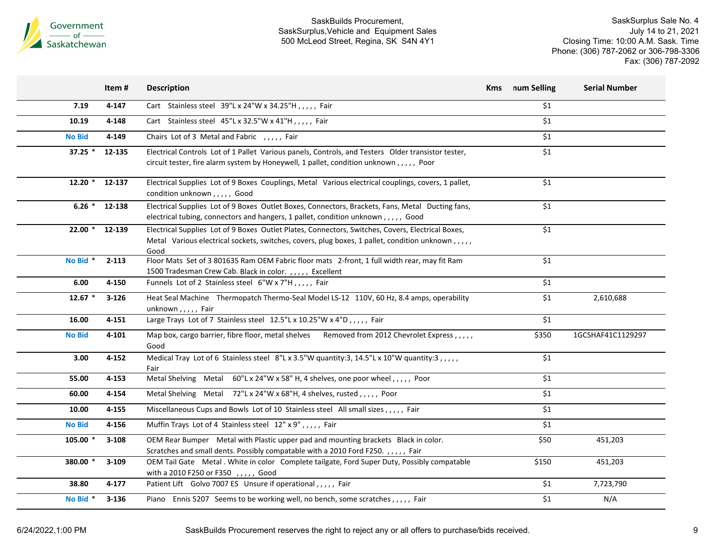

|               | Item#     | <b>Description</b>                                                                                                                                                                                            | Kms | num Selling      | <b>Serial Number</b> |
|---------------|-----------|---------------------------------------------------------------------------------------------------------------------------------------------------------------------------------------------------------------|-----|------------------|----------------------|
| 7.19          | 4-147     | Cart Stainless steel 39"L x 24"W x 34.25"H, , , , , Fair                                                                                                                                                      |     | \$1              |                      |
| 10.19         | 4-148     | Cart Stainless steel 45"L x 32.5"W x 41"H,,,,, Fair                                                                                                                                                           |     | \$1              |                      |
| <b>No Bid</b> | 4-149     | Chairs Lot of 3 Metal and Fabric , , , , , Fair                                                                                                                                                               |     | \$1              |                      |
| $37.25$ *     | 12-135    | Electrical Controls Lot of 1 Pallet Various panels, Controls, and Testers Older transistor tester,<br>circuit tester, fire alarm system by Honeywell, 1 pallet, condition unknown,,,,, Poor                   |     | \$1              |                      |
| $12.20$ *     | 12-137    | Electrical Supplies Lot of 9 Boxes Couplings, Metal Various electrical couplings, covers, 1 pallet,<br>condition unknown,,,,, Good                                                                            |     | \$1              |                      |
| $6.26$ *      | 12-138    | Electrical Supplies Lot of 9 Boxes Outlet Boxes, Connectors, Brackets, Fans, Metal Ducting fans,<br>electrical tubing, connectors and hangers, 1 pallet, condition unknown,,,,, Good                          |     | \$1              |                      |
| $22.00*$      | 12-139    | Electrical Supplies Lot of 9 Boxes Outlet Plates, Connectors, Switches, Covers, Electrical Boxes,<br>Metal Various electrical sockets, switches, covers, plug boxes, 1 pallet, condition unknown,,,,,<br>Good |     | \$1              |                      |
| No Bid *      | $2 - 113$ | Floor Mats Set of 3 801635 Ram OEM Fabric floor mats 2-front, 1 full width rear, may fit Ram<br>1500 Tradesman Crew Cab. Black in color.,,,,, Excellent                                                       |     | \$1              |                      |
| 6.00          | 4-150     | Funnels Lot of 2 Stainless steel 6"W x 7"H,,,,, Fair                                                                                                                                                          |     | \$1              |                      |
| $12.67*$      | $3 - 126$ | Heat Seal Machine Thermopatch Thermo-Seal Model LS-12 110V, 60 Hz, 8.4 amps, operability<br>unknown,,,,, Fair                                                                                                 |     | \$1              | 2,610,688            |
| 16.00         | $4 - 151$ | Large Trays Lot of 7 Stainless steel 12.5"L x 10.25"W x 4"D,,,,, Fair                                                                                                                                         |     | \$1              |                      |
| <b>No Bid</b> | 4-101     | Map box, cargo barrier, fibre floor, metal shelves Removed from 2012 Chevrolet Express,,,,,<br>Good                                                                                                           |     | \$350            | 1GCSHAF41C1129297    |
| 3.00          | 4-152     | Medical Tray Lot of 6 Stainless steel 8"L x 3.5"W quantity:3, 14.5"L x 10"W quantity:3, ,,,,<br>Fair                                                                                                          |     | \$1              |                      |
| 55.00         | 4-153     | Metal Shelving Metal 60"L x 24"W x 58" H, 4 shelves, one poor wheel, , , , , Poor                                                                                                                             |     | \$1              |                      |
| 60.00         | 4-154     | Metal Shelving Metal 72"L x 24"W x 68"H, 4 shelves, rusted, , , , , Poor                                                                                                                                      |     | \$1              |                      |
| 10.00         | 4-155     | Miscellaneous Cups and Bowls Lot of 10 Stainless steel All small sizes,,,,, Fair                                                                                                                              |     | \$1              |                      |
| <b>No Bid</b> | 4-156     | Muffin Trays Lot of 4 Stainless steel 12" x 9",,,,, Fair                                                                                                                                                      |     | \$1              |                      |
| 105.00 *      | $3 - 108$ | OEM Rear Bumper Metal with Plastic upper pad and mounting brackets Black in color.<br>Scratches and small dents. Possibly compatable with a 2010 Ford F250.,,,,, Fair                                         |     | \$50             | 451,203              |
| 380.00 *      | $3 - 109$ | OEM Tail Gate Metal . White in color Complete tailgate, Ford Super Duty, Possibly compatable<br>with a 2010 F250 or F350 , , , , , Good                                                                       |     | \$150            | 451,203              |
| 38.80         | 4-177     | Patient Lift Golvo 7007 ES Unsure if operational,,,,, Fair                                                                                                                                                    |     | \$1              | 7,723,790            |
| No Bid *      | $3 - 136$ | Piano Ennis 5207 Seems to be working well, no bench, some scratches,,,,, Fair                                                                                                                                 |     | $\overline{\$1}$ | N/A                  |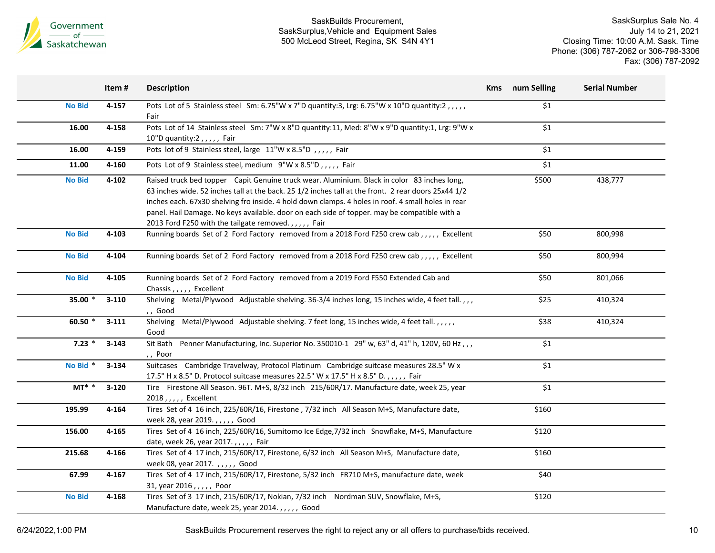

SaskSurplus Sale No. 4 July 14 to 21, 2021 Closing Time: 10:00 A.M. Sask. Time Phone: (306) 787-2062 or 306-798-3306 Fax: (306) 787-2092

|                     | Item#     | <b>Description</b>                                                                                                                                                                                                                                                                                                                                                                                                                                              | <b>Kms</b> | num Selling      | <b>Serial Number</b> |
|---------------------|-----------|-----------------------------------------------------------------------------------------------------------------------------------------------------------------------------------------------------------------------------------------------------------------------------------------------------------------------------------------------------------------------------------------------------------------------------------------------------------------|------------|------------------|----------------------|
| <b>No Bid</b>       | $4 - 157$ | Pots Lot of 5 Stainless steel Sm: 6.75"W x 7"D quantity:3, Lrg: 6.75"W x 10"D quantity:2,,,,,<br>Fair                                                                                                                                                                                                                                                                                                                                                           |            | \$1              |                      |
| 16.00               | 4-158     | Pots Lot of 14 Stainless steel Sm: 7"W x 8"D quantity:11, Med: 8"W x 9"D quantity:1, Lrg: 9"W x<br>10"D quantity:2,,,,, Fair                                                                                                                                                                                                                                                                                                                                    |            | \$1              |                      |
| 16.00               | 4-159     | Pots lot of 9 Stainless steel, large 11"W x 8.5"D,,,,, Fair                                                                                                                                                                                                                                                                                                                                                                                                     |            | \$1              |                      |
| 11.00               | 4-160     | Pots Lot of 9 Stainless steel, medium 9"W x 8.5"D,,,,, Fair                                                                                                                                                                                                                                                                                                                                                                                                     |            | \$1              |                      |
| <b>No Bid</b>       | $4 - 102$ | Raised truck bed topper Capit Genuine truck wear. Aluminium. Black in color 83 inches long,<br>63 inches wide. 52 inches tall at the back. 25 1/2 inches tall at the front. 2 rear doors 25x44 1/2<br>inches each. 67x30 shelving fro inside. 4 hold down clamps. 4 holes in roof. 4 small holes in rear<br>panel. Hail Damage. No keys available. door on each side of topper. may be compatible with a<br>2013 Ford F250 with the tailgate removed.,,,,, Fair |            | \$500            | 438,777              |
| <b>No Bid</b>       | 4-103     | Running boards Set of 2 Ford Factory removed from a 2018 Ford F250 crew cab,,,,, Excellent                                                                                                                                                                                                                                                                                                                                                                      |            | \$50             | 800,998              |
| <b>No Bid</b>       | 4-104     | Running boards Set of 2 Ford Factory removed from a 2018 Ford F250 crew cab,,,,, Excellent                                                                                                                                                                                                                                                                                                                                                                      |            | \$50             | 800,994              |
| <b>No Bid</b>       | 4-105     | Running boards Set of 2 Ford Factory removed from a 2019 Ford F550 Extended Cab and<br>Chassis,,,,, Excellent                                                                                                                                                                                                                                                                                                                                                   |            | \$50             | 801,066              |
| 35.00 *             | $3-110$   | Shelving Metal/Plywood Adjustable shelving. 36-3/4 inches long, 15 inches wide, 4 feet tall.,,,<br>,, Good                                                                                                                                                                                                                                                                                                                                                      |            | \$25             | 410,324              |
| 60.50 $*$           | $3 - 111$ | Shelving Metal/Plywood Adjustable shelving. 7 feet long, 15 inches wide, 4 feet tall.,,,,,<br>Good                                                                                                                                                                                                                                                                                                                                                              |            | \$38             | 410,324              |
| $7.23*$             | $3 - 143$ | Sit Bath Penner Manufacturing, Inc. Superior No. 350010-1 29" w, 63" d, 41" h, 120V, 60 Hz,,,<br>,, Poor                                                                                                                                                                                                                                                                                                                                                        |            | \$1              |                      |
| No Bid <sup>*</sup> | $3 - 134$ | Suitcases Cambridge Travelway, Protocol Platinum Cambridge suitcase measures 28.5" W x<br>17.5" H x 8.5" D. Protocol suitcase measures 22.5" W x 17.5" H x 8.5" D.,,,,, Fair                                                                                                                                                                                                                                                                                    |            | $\overline{\$1}$ |                      |
| $MT^*$ *            | $3 - 120$ | Tire Firestone All Season. 96T. M+S, 8/32 inch 215/60R/17. Manufacture date, week 25, year<br>2018, , , , , Excellent                                                                                                                                                                                                                                                                                                                                           |            | \$1              |                      |
| 195.99              | 4-164     | Tires Set of 4 16 inch, 225/60R/16, Firestone, 7/32 inch All Season M+S, Manufacture date,<br>week 28, year 2019.,,,,, Good                                                                                                                                                                                                                                                                                                                                     |            | \$160            |                      |
| 156.00              | 4-165     | Tires Set of 4 16 inch, 225/60R/16, Sumitomo Ice Edge, 7/32 inch Snowflake, M+S, Manufacture<br>date, week 26, year 2017.,,,,, Fair                                                                                                                                                                                                                                                                                                                             |            | \$120            |                      |
| 215.68              | 4-166     | Tires Set of 4 17 inch, 215/60R/17, Firestone, 6/32 inch All Season M+S, Manufacture date,<br>week 08, year 2017.,,,,, Good                                                                                                                                                                                                                                                                                                                                     |            | \$160            |                      |
| 67.99               | 4-167     | Tires Set of 4 17 inch, 215/60R/17, Firestone, 5/32 inch FR710 M+S, manufacture date, week<br>31, year 2016,,,,,, Poor                                                                                                                                                                                                                                                                                                                                          |            | \$40             |                      |
| <b>No Bid</b>       | 4-168     | Tires Set of 3 17 inch, 215/60R/17, Nokian, 7/32 inch Nordman SUV, Snowflake, M+S,                                                                                                                                                                                                                                                                                                                                                                              |            | \$120            |                      |

6/24/2022,1:00 PM SaskBuilds Procurement reserves the right to reject any or all offers to purchase/bids received.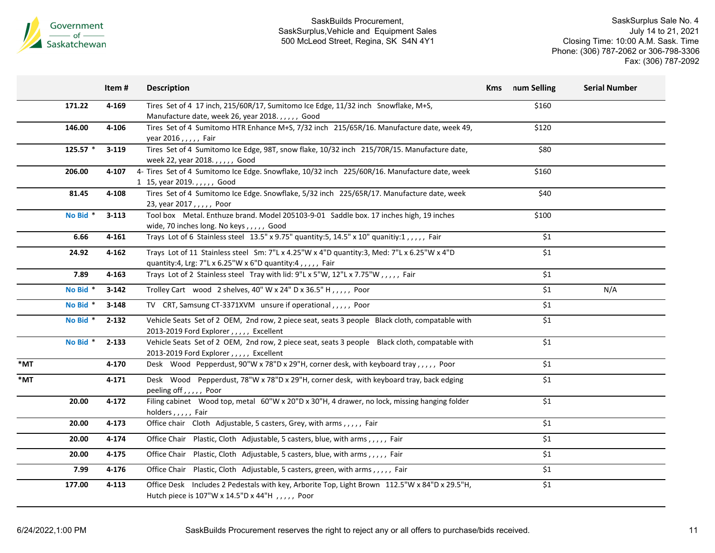

|     |          | Item#     | <b>Description</b>                                                                                                                 | <b>Kms</b> | num Selling        | <b>Serial Number</b> |
|-----|----------|-----------|------------------------------------------------------------------------------------------------------------------------------------|------------|--------------------|----------------------|
|     | 171.22   | 4-169     | Tires Set of 4 17 inch, 215/60R/17, Sumitomo Ice Edge, 11/32 inch Snowflake, M+S,                                                  |            | \$160              |                      |
|     |          |           | Manufacture date, week 26, year 2018.,,,,, Good                                                                                    |            |                    |                      |
|     | 146.00   | 4-106     | Tires Set of 4 Sumitomo HTR Enhance M+S, 7/32 inch 215/65R/16. Manufacture date, week 49,                                          |            | \$120              |                      |
|     |          |           | year 2016,,,,, Fair                                                                                                                |            |                    |                      |
|     | 125.57 * | $3 - 119$ | Tires Set of 4 Sumitomo Ice Edge, 98T, snow flake, 10/32 inch 215/70R/15. Manufacture date,                                        |            | \$80               |                      |
|     |          |           | week 22, year 2018.,,,,, Good                                                                                                      |            |                    |                      |
|     | 206.00   | 4-107     | 4- Tires Set of 4 Sumitomo Ice Edge. Snowflake, 10/32 inch 225/60R/16. Manufacture date, week                                      |            | \$160              |                      |
|     |          |           | 1 15, year 2019.,,,,,, Good                                                                                                        |            |                    |                      |
|     | 81.45    | 4-108     | Tires Set of 4 Sumitomo Ice Edge. Snowflake, 5/32 inch 225/65R/17. Manufacture date, week                                          |            | \$40               |                      |
|     |          |           | 23, year 2017,,,,,, Poor                                                                                                           |            |                    |                      |
|     | No Bid * | $3 - 113$ | Tool box Metal. Enthuze brand. Model 205103-9-01 Saddle box. 17 inches high, 19 inches<br>wide, 70 inches long. No keys,,,,,, Good |            | \$100              |                      |
|     | 6.66     | 4-161     | Trays Lot of 6 Stainless steel 13.5" x 9.75" quantity: 5, 14.5" x 10" quanitiy: 1,,,,,, Fair                                       |            | \$1                |                      |
|     |          |           |                                                                                                                                    |            |                    |                      |
|     | 24.92    | $4 - 162$ | Trays Lot of 11 Stainless steel Sm: 7"L x 4.25"W x 4"D quantity:3, Med: 7"L x 6.25"W x 4"D                                         |            | \$1                |                      |
|     |          |           | quantity:4, Lrg: 7"L x 6.25"W x 6"D quantity:4,,,,, Fair                                                                           |            |                    |                      |
|     | 7.89     | 4-163     | Trays Lot of 2 Stainless steel Tray with lid: 9"L x 5"W, 12"L x 7.75"W, ,,,, Fair                                                  |            | $\overline{\xi_1}$ |                      |
|     | No Bid * | $3 - 142$ | Trolley Cart wood 2 shelves, 40" W x 24" D x 36.5" H, , , , , Poor                                                                 |            | \$1                | N/A                  |
|     | No Bid * | $3 - 148$ | TV CRT, Samsung CT-3371XVM unsure if operational,,,,, Poor                                                                         |            | \$1                |                      |
|     | No Bid * | $2 - 132$ | Vehicle Seats Set of 2 OEM, 2nd row, 2 piece seat, seats 3 people Black cloth, compatable with                                     |            | \$1                |                      |
|     |          |           | 2013-2019 Ford Explorer,,,,, Excellent                                                                                             |            |                    |                      |
|     | No Bid * | $2 - 133$ | Vehicle Seats Set of 2 OEM, 2nd row, 2 piece seat, seats 3 people Black cloth, compatable with                                     |            | \$1                |                      |
|     |          |           | 2013-2019 Ford Explorer , , , , , Excellent                                                                                        |            |                    |                      |
| *MT |          | 4-170     | Desk Wood Pepperdust, 90"W x 78"D x 29"H, corner desk, with keyboard tray,,,,,, Poor                                               |            | \$1                |                      |
| *MT |          | 4-171     | Desk Wood Pepperdust, 78"W x 78"D x 29"H, corner desk, with keyboard tray, back edging                                             |            | \$1                |                      |
|     |          |           | peeling off,,,,, Poor                                                                                                              |            |                    |                      |
|     | 20.00    | 4-172     | Filing cabinet Wood top, metal 60"W x 20"D x 30"H, 4 drawer, no lock, missing hanging folder                                       |            | \$1                |                      |
|     |          |           | holders,,,,, Fair                                                                                                                  |            |                    |                      |
|     | 20.00    | 4-173     | Office chair Cloth Adjustable, 5 casters, Grey, with arms,,,,, Fair                                                                |            | \$1                |                      |
|     | 20.00    | 4-174     | Office Chair Plastic, Cloth Adjustable, 5 casters, blue, with arms,,,,, Fair                                                       |            | \$1                |                      |
|     | 20.00    | 4-175     | Office Chair Plastic, Cloth Adjustable, 5 casters, blue, with arms,,,,, Fair                                                       |            | \$1                |                      |
|     | 7.99     | 4-176     | Office Chair Plastic, Cloth Adjustable, 5 casters, green, with arms,,,,,, Fair                                                     |            | \$1                |                      |
|     | 177.00   | 4-113     | Office Desk Includes 2 Pedestals with key, Arborite Top, Light Brown 112.5"W x 84"D x 29.5"H,                                      |            | \$1                |                      |
|     |          |           | Hutch piece is 107"W x 14.5"D x 44"H , , , , , Poor                                                                                |            |                    |                      |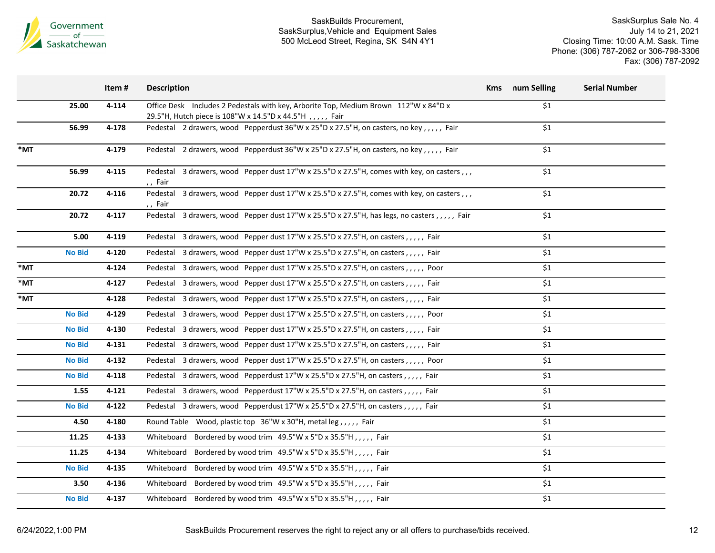

| Office Desk Includes 2 Pedestals with key, Arborite Top, Medium Brown 112"W x 84"D x<br>\$1<br>25.00<br>4-114<br>29.5"H, Hutch piece is 108"W x 14.5"D x 44.5"H , , , , , Fair<br>\$1<br>56.99<br>Pedestal 2 drawers, wood Pepperdust 36"W x 25"D x 27.5"H, on casters, no key,,,,, Fair<br>4-178<br>\$1<br>Pedestal 2 drawers, wood Pepperdust 36"W x 25"D x 27.5"H, on casters, no key,,,,,, Fair<br>4-179<br>Pedestal 3 drawers, wood Pepper dust 17"W x 25.5"D x 27.5"H, comes with key, on casters,,,<br>\$1<br>56.99<br>$4 - 115$<br>,, Fair<br>Pedestal 3 drawers, wood Pepper dust 17"W x 25.5"D x 27.5"H, comes with key, on casters,,,<br>20.72<br>\$1<br>$4 - 116$<br>,, Fair<br>Pedestal 3 drawers, wood Pepper dust 17"W x 25.5"D x 27.5"H, has legs, no casters,,,,, Fair<br>\$1<br>20.72<br>$4 - 117$<br>\$1<br>5.00<br>4-119<br>Pedestal 3 drawers, wood Pepper dust 17"W x 25.5"D x 27.5"H, on casters, ,,,,, Fair<br>\$1<br><b>No Bid</b><br>4-120<br>Pedestal 3 drawers, wood Pepper dust 17"W x 25.5"D x 27.5"H, on casters, ,,,, Fair<br>\$1<br>*MT<br>$4 - 124$<br>Pedestal 3 drawers, wood Pepper dust 17"W x 25.5"D x 27.5"H, on casters,,,,, Poor<br>\$1<br>*MT<br>$4 - 127$<br>Pedestal 3 drawers, wood Pepper dust 17"W x 25.5"D x 27.5"H, on casters,,,,,, Fair<br>*MT<br>Pedestal 3 drawers, wood Pepper dust 17"W x 25.5"D x 27.5"H, on casters,,,,,, Fair<br>\$1<br>4-128<br>\$1<br><b>No Bid</b><br>4-129<br>Pedestal 3 drawers, wood Pepper dust 17"W x 25.5"D x 27.5"H, on casters,,,,, Poor<br>\$1<br><b>No Bid</b><br>4-130<br>Pedestal 3 drawers, wood Pepper dust 17"W x 25.5"D x 27.5"H, on casters, ,,,,, Fair<br>\$1<br><b>No Bid</b><br>$4 - 131$<br>Pedestal 3 drawers, wood Pepper dust 17"W x 25.5"D x 27.5"H, on casters,,,,,, Fair<br>\$1<br><b>No Bid</b><br>4-132<br>Pedestal 3 drawers, wood Pepper dust 17"W x 25.5"D x 27.5"H, on casters,,,,,, Poor<br>\$1<br><b>No Bid</b><br>4-118<br>Pedestal 3 drawers, wood Pepperdust 17"W x 25.5"D x 27.5"H, on casters,,,,, Fair<br>\$1<br>Pedestal 3 drawers, wood Pepperdust 17"W x 25.5"D x 27.5"H, on casters,,,,,, Fair<br>1.55<br>$4 - 121$<br>\$1<br>Pedestal 3 drawers, wood Pepperdust 17"W x 25.5"D x 27.5"H, on casters,,,,,, Fair<br><b>No Bid</b><br>$4 - 122$<br>\$1<br>4.50<br>4-180<br>Round Table Wood, plastic top 36"W x 30"H, metal leg,,,,, Fair<br>\$1<br>11.25<br>4-133<br>Whiteboard Bordered by wood trim 49.5"W x 5"D x 35.5"H,,,,, Fair<br>$\overline{\$1}$<br>Bordered by wood trim 49.5"W x 5"D x 35.5"H,,,,, Fair<br>11.25<br>4-134<br>Whiteboard<br>\$1<br><b>No Bid</b><br>4-135<br>Bordered by wood trim $49.5''W \times 5''D \times 35.5''H$ ,,,,, Fair<br>Whiteboard<br>\$1<br>Whiteboard Bordered by wood trim 49.5"W x 5"D x 35.5"H,,,,, Fair<br>3.50<br>4-136<br>\$1<br>Whiteboard Bordered by wood trim 49.5"W x 5"D x 35.5"H,,,,, Fair<br><b>No Bid</b><br>4-137 |     | Item# | <b>Description</b> | Kms | num Selling | <b>Serial Number</b> |
|-------------------------------------------------------------------------------------------------------------------------------------------------------------------------------------------------------------------------------------------------------------------------------------------------------------------------------------------------------------------------------------------------------------------------------------------------------------------------------------------------------------------------------------------------------------------------------------------------------------------------------------------------------------------------------------------------------------------------------------------------------------------------------------------------------------------------------------------------------------------------------------------------------------------------------------------------------------------------------------------------------------------------------------------------------------------------------------------------------------------------------------------------------------------------------------------------------------------------------------------------------------------------------------------------------------------------------------------------------------------------------------------------------------------------------------------------------------------------------------------------------------------------------------------------------------------------------------------------------------------------------------------------------------------------------------------------------------------------------------------------------------------------------------------------------------------------------------------------------------------------------------------------------------------------------------------------------------------------------------------------------------------------------------------------------------------------------------------------------------------------------------------------------------------------------------------------------------------------------------------------------------------------------------------------------------------------------------------------------------------------------------------------------------------------------------------------------------------------------------------------------------------------------------------------------------------------------------------------------------------------------------------------------------------------------------------------------------------------------------------------------------------------------------------------------------------------------------------------------------------------------------------------------|-----|-------|--------------------|-----|-------------|----------------------|
|                                                                                                                                                                                                                                                                                                                                                                                                                                                                                                                                                                                                                                                                                                                                                                                                                                                                                                                                                                                                                                                                                                                                                                                                                                                                                                                                                                                                                                                                                                                                                                                                                                                                                                                                                                                                                                                                                                                                                                                                                                                                                                                                                                                                                                                                                                                                                                                                                                                                                                                                                                                                                                                                                                                                                                                                                                                                                                       |     |       |                    |     |             |                      |
|                                                                                                                                                                                                                                                                                                                                                                                                                                                                                                                                                                                                                                                                                                                                                                                                                                                                                                                                                                                                                                                                                                                                                                                                                                                                                                                                                                                                                                                                                                                                                                                                                                                                                                                                                                                                                                                                                                                                                                                                                                                                                                                                                                                                                                                                                                                                                                                                                                                                                                                                                                                                                                                                                                                                                                                                                                                                                                       |     |       |                    |     |             |                      |
|                                                                                                                                                                                                                                                                                                                                                                                                                                                                                                                                                                                                                                                                                                                                                                                                                                                                                                                                                                                                                                                                                                                                                                                                                                                                                                                                                                                                                                                                                                                                                                                                                                                                                                                                                                                                                                                                                                                                                                                                                                                                                                                                                                                                                                                                                                                                                                                                                                                                                                                                                                                                                                                                                                                                                                                                                                                                                                       | *MT |       |                    |     |             |                      |
|                                                                                                                                                                                                                                                                                                                                                                                                                                                                                                                                                                                                                                                                                                                                                                                                                                                                                                                                                                                                                                                                                                                                                                                                                                                                                                                                                                                                                                                                                                                                                                                                                                                                                                                                                                                                                                                                                                                                                                                                                                                                                                                                                                                                                                                                                                                                                                                                                                                                                                                                                                                                                                                                                                                                                                                                                                                                                                       |     |       |                    |     |             |                      |
|                                                                                                                                                                                                                                                                                                                                                                                                                                                                                                                                                                                                                                                                                                                                                                                                                                                                                                                                                                                                                                                                                                                                                                                                                                                                                                                                                                                                                                                                                                                                                                                                                                                                                                                                                                                                                                                                                                                                                                                                                                                                                                                                                                                                                                                                                                                                                                                                                                                                                                                                                                                                                                                                                                                                                                                                                                                                                                       |     |       |                    |     |             |                      |
|                                                                                                                                                                                                                                                                                                                                                                                                                                                                                                                                                                                                                                                                                                                                                                                                                                                                                                                                                                                                                                                                                                                                                                                                                                                                                                                                                                                                                                                                                                                                                                                                                                                                                                                                                                                                                                                                                                                                                                                                                                                                                                                                                                                                                                                                                                                                                                                                                                                                                                                                                                                                                                                                                                                                                                                                                                                                                                       |     |       |                    |     |             |                      |
|                                                                                                                                                                                                                                                                                                                                                                                                                                                                                                                                                                                                                                                                                                                                                                                                                                                                                                                                                                                                                                                                                                                                                                                                                                                                                                                                                                                                                                                                                                                                                                                                                                                                                                                                                                                                                                                                                                                                                                                                                                                                                                                                                                                                                                                                                                                                                                                                                                                                                                                                                                                                                                                                                                                                                                                                                                                                                                       |     |       |                    |     |             |                      |
|                                                                                                                                                                                                                                                                                                                                                                                                                                                                                                                                                                                                                                                                                                                                                                                                                                                                                                                                                                                                                                                                                                                                                                                                                                                                                                                                                                                                                                                                                                                                                                                                                                                                                                                                                                                                                                                                                                                                                                                                                                                                                                                                                                                                                                                                                                                                                                                                                                                                                                                                                                                                                                                                                                                                                                                                                                                                                                       |     |       |                    |     |             |                      |
|                                                                                                                                                                                                                                                                                                                                                                                                                                                                                                                                                                                                                                                                                                                                                                                                                                                                                                                                                                                                                                                                                                                                                                                                                                                                                                                                                                                                                                                                                                                                                                                                                                                                                                                                                                                                                                                                                                                                                                                                                                                                                                                                                                                                                                                                                                                                                                                                                                                                                                                                                                                                                                                                                                                                                                                                                                                                                                       |     |       |                    |     |             |                      |
|                                                                                                                                                                                                                                                                                                                                                                                                                                                                                                                                                                                                                                                                                                                                                                                                                                                                                                                                                                                                                                                                                                                                                                                                                                                                                                                                                                                                                                                                                                                                                                                                                                                                                                                                                                                                                                                                                                                                                                                                                                                                                                                                                                                                                                                                                                                                                                                                                                                                                                                                                                                                                                                                                                                                                                                                                                                                                                       |     |       |                    |     |             |                      |
|                                                                                                                                                                                                                                                                                                                                                                                                                                                                                                                                                                                                                                                                                                                                                                                                                                                                                                                                                                                                                                                                                                                                                                                                                                                                                                                                                                                                                                                                                                                                                                                                                                                                                                                                                                                                                                                                                                                                                                                                                                                                                                                                                                                                                                                                                                                                                                                                                                                                                                                                                                                                                                                                                                                                                                                                                                                                                                       |     |       |                    |     |             |                      |
|                                                                                                                                                                                                                                                                                                                                                                                                                                                                                                                                                                                                                                                                                                                                                                                                                                                                                                                                                                                                                                                                                                                                                                                                                                                                                                                                                                                                                                                                                                                                                                                                                                                                                                                                                                                                                                                                                                                                                                                                                                                                                                                                                                                                                                                                                                                                                                                                                                                                                                                                                                                                                                                                                                                                                                                                                                                                                                       |     |       |                    |     |             |                      |
|                                                                                                                                                                                                                                                                                                                                                                                                                                                                                                                                                                                                                                                                                                                                                                                                                                                                                                                                                                                                                                                                                                                                                                                                                                                                                                                                                                                                                                                                                                                                                                                                                                                                                                                                                                                                                                                                                                                                                                                                                                                                                                                                                                                                                                                                                                                                                                                                                                                                                                                                                                                                                                                                                                                                                                                                                                                                                                       |     |       |                    |     |             |                      |
|                                                                                                                                                                                                                                                                                                                                                                                                                                                                                                                                                                                                                                                                                                                                                                                                                                                                                                                                                                                                                                                                                                                                                                                                                                                                                                                                                                                                                                                                                                                                                                                                                                                                                                                                                                                                                                                                                                                                                                                                                                                                                                                                                                                                                                                                                                                                                                                                                                                                                                                                                                                                                                                                                                                                                                                                                                                                                                       |     |       |                    |     |             |                      |
|                                                                                                                                                                                                                                                                                                                                                                                                                                                                                                                                                                                                                                                                                                                                                                                                                                                                                                                                                                                                                                                                                                                                                                                                                                                                                                                                                                                                                                                                                                                                                                                                                                                                                                                                                                                                                                                                                                                                                                                                                                                                                                                                                                                                                                                                                                                                                                                                                                                                                                                                                                                                                                                                                                                                                                                                                                                                                                       |     |       |                    |     |             |                      |
|                                                                                                                                                                                                                                                                                                                                                                                                                                                                                                                                                                                                                                                                                                                                                                                                                                                                                                                                                                                                                                                                                                                                                                                                                                                                                                                                                                                                                                                                                                                                                                                                                                                                                                                                                                                                                                                                                                                                                                                                                                                                                                                                                                                                                                                                                                                                                                                                                                                                                                                                                                                                                                                                                                                                                                                                                                                                                                       |     |       |                    |     |             |                      |
|                                                                                                                                                                                                                                                                                                                                                                                                                                                                                                                                                                                                                                                                                                                                                                                                                                                                                                                                                                                                                                                                                                                                                                                                                                                                                                                                                                                                                                                                                                                                                                                                                                                                                                                                                                                                                                                                                                                                                                                                                                                                                                                                                                                                                                                                                                                                                                                                                                                                                                                                                                                                                                                                                                                                                                                                                                                                                                       |     |       |                    |     |             |                      |
|                                                                                                                                                                                                                                                                                                                                                                                                                                                                                                                                                                                                                                                                                                                                                                                                                                                                                                                                                                                                                                                                                                                                                                                                                                                                                                                                                                                                                                                                                                                                                                                                                                                                                                                                                                                                                                                                                                                                                                                                                                                                                                                                                                                                                                                                                                                                                                                                                                                                                                                                                                                                                                                                                                                                                                                                                                                                                                       |     |       |                    |     |             |                      |
|                                                                                                                                                                                                                                                                                                                                                                                                                                                                                                                                                                                                                                                                                                                                                                                                                                                                                                                                                                                                                                                                                                                                                                                                                                                                                                                                                                                                                                                                                                                                                                                                                                                                                                                                                                                                                                                                                                                                                                                                                                                                                                                                                                                                                                                                                                                                                                                                                                                                                                                                                                                                                                                                                                                                                                                                                                                                                                       |     |       |                    |     |             |                      |
|                                                                                                                                                                                                                                                                                                                                                                                                                                                                                                                                                                                                                                                                                                                                                                                                                                                                                                                                                                                                                                                                                                                                                                                                                                                                                                                                                                                                                                                                                                                                                                                                                                                                                                                                                                                                                                                                                                                                                                                                                                                                                                                                                                                                                                                                                                                                                                                                                                                                                                                                                                                                                                                                                                                                                                                                                                                                                                       |     |       |                    |     |             |                      |
|                                                                                                                                                                                                                                                                                                                                                                                                                                                                                                                                                                                                                                                                                                                                                                                                                                                                                                                                                                                                                                                                                                                                                                                                                                                                                                                                                                                                                                                                                                                                                                                                                                                                                                                                                                                                                                                                                                                                                                                                                                                                                                                                                                                                                                                                                                                                                                                                                                                                                                                                                                                                                                                                                                                                                                                                                                                                                                       |     |       |                    |     |             |                      |
|                                                                                                                                                                                                                                                                                                                                                                                                                                                                                                                                                                                                                                                                                                                                                                                                                                                                                                                                                                                                                                                                                                                                                                                                                                                                                                                                                                                                                                                                                                                                                                                                                                                                                                                                                                                                                                                                                                                                                                                                                                                                                                                                                                                                                                                                                                                                                                                                                                                                                                                                                                                                                                                                                                                                                                                                                                                                                                       |     |       |                    |     |             |                      |
|                                                                                                                                                                                                                                                                                                                                                                                                                                                                                                                                                                                                                                                                                                                                                                                                                                                                                                                                                                                                                                                                                                                                                                                                                                                                                                                                                                                                                                                                                                                                                                                                                                                                                                                                                                                                                                                                                                                                                                                                                                                                                                                                                                                                                                                                                                                                                                                                                                                                                                                                                                                                                                                                                                                                                                                                                                                                                                       |     |       |                    |     |             |                      |
|                                                                                                                                                                                                                                                                                                                                                                                                                                                                                                                                                                                                                                                                                                                                                                                                                                                                                                                                                                                                                                                                                                                                                                                                                                                                                                                                                                                                                                                                                                                                                                                                                                                                                                                                                                                                                                                                                                                                                                                                                                                                                                                                                                                                                                                                                                                                                                                                                                                                                                                                                                                                                                                                                                                                                                                                                                                                                                       |     |       |                    |     |             |                      |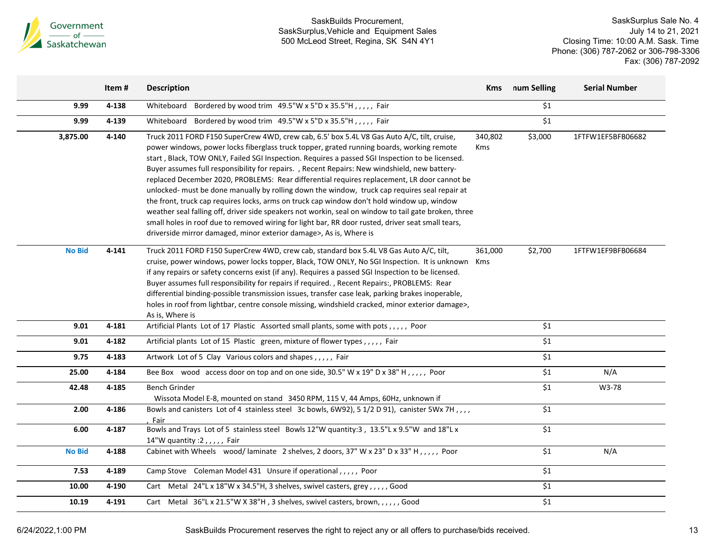

|               | Item#     | <b>Description</b>                                                                                                                                                                                                                                                                                                                                                                                                                                                                                                                                                                                                                                                                                                                                                                                                                                                                                                                                                           | <b>Kms</b>            | num Selling | <b>Serial Number</b> |
|---------------|-----------|------------------------------------------------------------------------------------------------------------------------------------------------------------------------------------------------------------------------------------------------------------------------------------------------------------------------------------------------------------------------------------------------------------------------------------------------------------------------------------------------------------------------------------------------------------------------------------------------------------------------------------------------------------------------------------------------------------------------------------------------------------------------------------------------------------------------------------------------------------------------------------------------------------------------------------------------------------------------------|-----------------------|-------------|----------------------|
| 9.99          | 4-138     | Whiteboard Bordered by wood trim 49.5"W x 5"D x 35.5"H,,,,, Fair                                                                                                                                                                                                                                                                                                                                                                                                                                                                                                                                                                                                                                                                                                                                                                                                                                                                                                             |                       | \$1         |                      |
| 9.99          | 4-139     | Bordered by wood trim 49.5"W x 5"D x 35.5"H,,,,, Fair<br>Whiteboard                                                                                                                                                                                                                                                                                                                                                                                                                                                                                                                                                                                                                                                                                                                                                                                                                                                                                                          |                       | \$1         |                      |
| 3,875.00      | $4 - 140$ | Truck 2011 FORD F150 SuperCrew 4WD, crew cab, 6.5' box 5.4L V8 Gas Auto A/C, tilt, cruise,<br>power windows, power locks fiberglass truck topper, grated running boards, working remote<br>start, Black, TOW ONLY, Failed SGI Inspection. Requires a passed SGI Inspection to be licensed.<br>Buyer assumes full responsibility for repairs. , Recent Repairs: New windshield, new battery-<br>replaced December 2020, PROBLEMS: Rear differential requires replacement, LR door cannot be<br>unlocked- must be done manually by rolling down the window, truck cap requires seal repair at<br>the front, truck cap requires locks, arms on truck cap window don't hold window up, window<br>weather seal falling off, driver side speakers not workin, seal on window to tail gate broken, three<br>small holes in roof due to removed wiring for light bar, RR door rusted, driver seat small tears,<br>driverside mirror damaged, minor exterior damage>, As is, Where is | 340,802<br><b>Kms</b> | \$3,000     | 1FTFW1EF5BFB06682    |
| <b>No Bid</b> | 4-141     | Truck 2011 FORD F150 SuperCrew 4WD, crew cab, standard box 5.4L V8 Gas Auto A/C, tilt,<br>cruise, power windows, power locks topper, Black, TOW ONLY, No SGI Inspection. It is unknown<br>if any repairs or safety concerns exist (if any). Requires a passed SGI Inspection to be licensed.<br>Buyer assumes full responsibility for repairs if required., Recent Repairs:, PROBLEMS: Rear<br>differential binding-possible transmission issues, transfer case leak, parking brakes inoperable,<br>holes in roof from lightbar, centre console missing, windshield cracked, minor exterior damage>,<br>As is, Where is                                                                                                                                                                                                                                                                                                                                                      | 361,000<br>Kms        | \$2,700     | 1FTFW1EF9BFB06684    |
| 9.01          | 4-181     | Artificial Plants Lot of 17 Plastic Assorted small plants, some with pots,,,,, Poor                                                                                                                                                                                                                                                                                                                                                                                                                                                                                                                                                                                                                                                                                                                                                                                                                                                                                          |                       | \$1         |                      |
| 9.01          | 4-182     | Artificial plants Lot of 15 Plastic green, mixture of flower types,,,,, Fair                                                                                                                                                                                                                                                                                                                                                                                                                                                                                                                                                                                                                                                                                                                                                                                                                                                                                                 |                       | \$1         |                      |
| 9.75          | 4-183     | Artwork Lot of 5 Clay Various colors and shapes,,,,, Fair                                                                                                                                                                                                                                                                                                                                                                                                                                                                                                                                                                                                                                                                                                                                                                                                                                                                                                                    |                       | \$1         |                      |
| 25.00         | 4-184     | Bee Box wood access door on top and on one side, 30.5" W x 19" D x 38" H,,,,, Poor                                                                                                                                                                                                                                                                                                                                                                                                                                                                                                                                                                                                                                                                                                                                                                                                                                                                                           |                       | \$1         | N/A                  |
| 42.48         | 4-185     | Bench Grinder<br>Wissota Model E-8, mounted on stand 3450 RPM, 115 V, 44 Amps, 60Hz, unknown if                                                                                                                                                                                                                                                                                                                                                                                                                                                                                                                                                                                                                                                                                                                                                                                                                                                                              |                       | \$1         | W3-78                |
| 2.00          | 4-186     | Bowls and canisters Lot of 4 stainless steel 3c bowls, 6W92), 5 1/2 D 91), canister 5Wx 7H, ,,,<br>Fair                                                                                                                                                                                                                                                                                                                                                                                                                                                                                                                                                                                                                                                                                                                                                                                                                                                                      |                       | \$1         |                      |
| 6.00          | 4-187     | Bowls and Trays Lot of 5 stainless steel Bowls 12"W quantity:3, 13.5"L x 9.5"W and 18"L x<br>14"W quantity : 2, , , , , Fair                                                                                                                                                                                                                                                                                                                                                                                                                                                                                                                                                                                                                                                                                                                                                                                                                                                 |                       | \$1         |                      |
| <b>No Bid</b> | 4-188     | Cabinet with Wheels wood/laminate 2 shelves, 2 doors, 37" W x 23" D x 33" H,,,,,, Poor                                                                                                                                                                                                                                                                                                                                                                                                                                                                                                                                                                                                                                                                                                                                                                                                                                                                                       |                       | \$1         | N/A                  |
| 7.53          | 4-189     | Camp Stove Coleman Model 431 Unsure if operational,,,,, Poor                                                                                                                                                                                                                                                                                                                                                                                                                                                                                                                                                                                                                                                                                                                                                                                                                                                                                                                 |                       | \$1         |                      |
| 10.00         | 4-190     | Cart Metal 24"L x 18"W x 34.5"H, 3 shelves, swivel casters, grey,,,,, Good                                                                                                                                                                                                                                                                                                                                                                                                                                                                                                                                                                                                                                                                                                                                                                                                                                                                                                   |                       | \$1         |                      |
| 10.19         | 4-191     | Cart Metal 36"L x 21.5"W X 38"H, 3 shelves, swivel casters, brown, , , , , , Good                                                                                                                                                                                                                                                                                                                                                                                                                                                                                                                                                                                                                                                                                                                                                                                                                                                                                            |                       | \$1         |                      |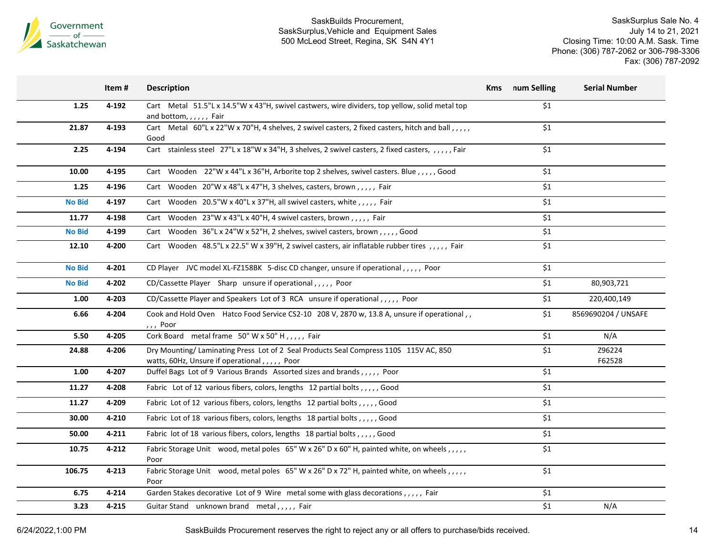

SaskSurplus Sale No. 4 July 14 to 21, 2021 Closing Time: 10:00 A.M. Sask. Time Phone: (306) 787-2062 or 306-798-3306 Fax: (306) 787-2092

|               | Item#     | <b>Description</b>                                                                                                                    | <b>Kms</b> num Selling | <b>Serial Number</b> |
|---------------|-----------|---------------------------------------------------------------------------------------------------------------------------------------|------------------------|----------------------|
| 1.25          | 4-192     | Cart Metal 51.5"L x 14.5"W x 43"H, swivel castwers, wire dividers, top yellow, solid metal top<br>and bottom, , , , , , Fair          | \$1                    |                      |
| 21.87         | 4-193     | Cart Metal 60"L x 22"W x 70"H, 4 shelves, 2 swivel casters, 2 fixed casters, hitch and ball,,,,,<br>Good                              | \$1                    |                      |
| 2.25          | 4-194     | Cart stainless steel 27"L x 18"W x 34"H, 3 shelves, 2 swivel casters, 2 fixed casters, ,,,,,Fair                                      | \$1                    |                      |
| 10.00         | 4-195     | Cart Wooden 22"W x 44"L x 36"H, Arborite top 2 shelves, swivel casters. Blue, ,,,,, Good                                              | \$1                    |                      |
| 1.25          | 4-196     | Cart Wooden $20''W \times 48''L \times 47''H$ , 3 shelves, casters, brown,,,,,, Fair                                                  | \$1                    |                      |
| <b>No Bid</b> | 4-197     | Cart Wooden 20.5"W x 40"L x 37"H, all swivel casters, white, , , , , Fair                                                             | \$1                    |                      |
| 11.77         | 4-198     | Cart Wooden 23"W x 43"L x 40"H, 4 swivel casters, brown,,,,, Fair                                                                     | \$1                    |                      |
| <b>No Bid</b> | 4-199     | Cart Wooden 36"L x 24"W x 52"H, 2 shelves, swivel casters, brown,,,,, Good                                                            | \$1                    |                      |
| 12.10         | 4-200     | Cart Wooden 48.5"L x 22.5" W x 39"H, 2 swivel casters, air inflatable rubber tires,,,,,, Fair                                         | \$1                    |                      |
| <b>No Bid</b> | 4-201     | CD Player JVC model XL-FZ158BK 5-disc CD changer, unsure if operational,,,,, Poor                                                     | \$1                    |                      |
| <b>No Bid</b> | 4-202     | CD/Cassette Player Sharp unsure if operational,,,,, Poor                                                                              | \$1                    | 80,903,721           |
| 1.00          | 4-203     | CD/Cassette Player and Speakers Lot of 3 RCA unsure if operational,,,,, Poor                                                          | \$1                    | 220,400,149          |
| 6.66          | 4-204     | Cook and Hold Oven Hatco Food Service CS2-10 208 V, 2870 w, 13.8 A, unsure if operational,,<br>,,, Poor                               | \$1                    | 8569690204 / UNSAFE  |
| 5.50          | 4-205     | Cork Board metal frame 50" W x 50" H,,,,, Fair                                                                                        | \$1                    | N/A                  |
| 24.88         | 4-206     | Dry Mounting/Laminating Press Lot of 2 Seal Products Seal Compress 110S 115V AC, 850<br>watts, 60Hz, Unsure if operational,,,,,, Poor | \$1                    | Z96224<br>F62528     |
| 1.00          | 4-207     | Duffel Bags Lot of 9 Various Brands Assorted sizes and brands,,,,, Poor                                                               | \$1                    |                      |
| 11.27         | 4-208     | Fabric Lot of 12 various fibers, colors, lengths 12 partial bolts,,,,,Good                                                            | \$1                    |                      |
| 11.27         | 4-209     | Fabric Lot of 12 various fibers, colors, lengths 12 partial bolts,,,,,, Good                                                          | \$1                    |                      |
| 30.00         | 4-210     | Fabric Lot of 18 various fibers, colors, lengths 18 partial bolts, , , , , Good                                                       | \$1                    |                      |
| 50.00         | $4 - 211$ | Fabric lot of 18 various fibers, colors, lengths 18 partial bolts, , , , , Good                                                       | \$1                    |                      |
| 10.75         | 4-212     | Fabric Storage Unit wood, metal poles 65" W x 26" D x 60" H, painted white, on wheels, , , , ,<br>Poor                                | \$1                    |                      |
| 106.75        | 4-213     | Fabric Storage Unit wood, metal poles 65" W x 26" D x 72" H, painted white, on wheels,,,,,<br>Poor                                    | \$1                    |                      |
| 6.75          | $4 - 214$ | Garden Stakes decorative Lot of 9 Wire metal some with glass decorations,,,,, Fair                                                    | \$1                    |                      |
| 3.23          | 4-215     | Guitar Stand unknown brand metal,,,,, Fair                                                                                            | \$1                    | N/A                  |

6/24/2022,1:00 PM SaskBuilds Procurement reserves the right to reject any or all offers to purchase/bids received. 14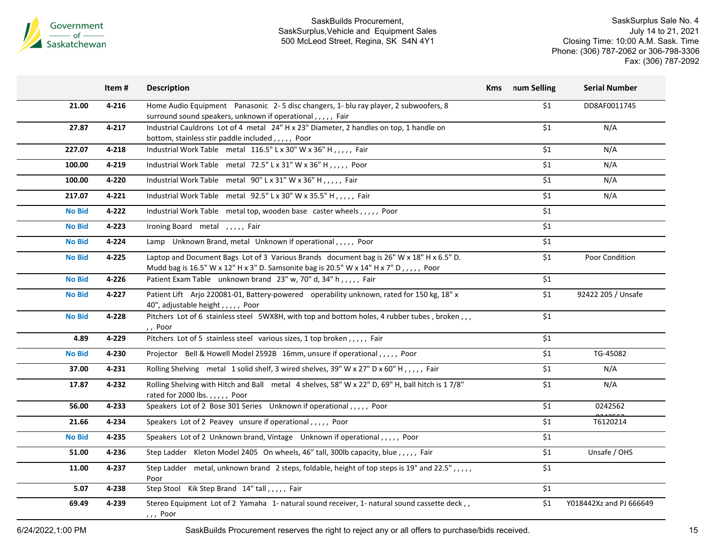

SaskSurplus Sale No. 4 July 14 to 21, 2021 Closing Time: 10:00 A.M. Sask. Time Phone: (306) 787-2062 or 306-798-3306 Fax: (306) 787-2092

|               | Item#     | <b>Description</b>                                                                                                                                                                | Kms num Selling  | <b>Serial Number</b>    |
|---------------|-----------|-----------------------------------------------------------------------------------------------------------------------------------------------------------------------------------|------------------|-------------------------|
| 21.00         | $4 - 216$ | Home Audio Equipment Panasonic 2-5 disc changers, 1- blu ray player, 2 subwoofers, 8<br>surround sound speakers, unknown if operational,,,,, Fair                                 | \$1              | DD8AF0011745            |
| 27.87         | 4-217     | Industrial Cauldrons Lot of 4 metal 24" H x 23" Diameter, 2 handles on top, 1 handle on<br>bottom, stainless stir paddle included,,,,,, Poor                                      | \$1              | N/A                     |
| 227.07        | 4-218     | Industrial Work Table metal 116.5" L x 30" W x 36" H,,,,, Fair                                                                                                                    | \$1              | N/A                     |
| 100.00        | 4-219     | Industrial Work Table metal 72.5" L x 31" W x 36" H,,,,,, Poor                                                                                                                    | \$1              | N/A                     |
| 100.00        | 4-220     | Industrial Work Table metal 90" L x 31" W x 36" H,,,,, Fair                                                                                                                       | \$1              | N/A                     |
| 217.07        | 4-221     | Industrial Work Table metal 92.5" L x 30" W x 35.5" H,,,,, Fair                                                                                                                   | \$1              | N/A                     |
| <b>No Bid</b> | 4-222     | Industrial Work Table metal top, wooden base caster wheels,,,,, Poor                                                                                                              | \$1              |                         |
| <b>No Bid</b> | 4-223     | Ironing Board metal , , , , , Fair                                                                                                                                                | \$1              |                         |
| <b>No Bid</b> | 4-224     | Lamp Unknown Brand, metal Unknown if operational,,,,, Poor                                                                                                                        | \$1              |                         |
| <b>No Bid</b> | 4-225     | Laptop and Document Bags Lot of 3 Various Brands document bag is 26" W x 18" H x 6.5" D.<br>Mudd bag is 16.5" W x 12" H x 3" D. Samsonite bag is 20.5" W x 14" H x 7" D,,,,, Poor | \$1              | Poor Condition          |
| <b>No Bid</b> | 4-226     | Patient Exam Table unknown brand 23" w, 70" d, 34" h,,,,, Fair                                                                                                                    | \$1              |                         |
| <b>No Bid</b> | 4-227     | Patient Lift Arjo 220081-01, Battery-powered operability unknown, rated for 150 kg, 18" x<br>40", adjustable height, , , , , Poor                                                 | \$1              | 92422 205 / Unsafe      |
| <b>No Bid</b> | 4-228     | Pitchers Lot of 6 stainless steel 5WX8H, with top and bottom holes, 4 rubber tubes, broken,,,<br>,, Poor                                                                          | \$1              |                         |
| 4.89          | 4-229     | Pitchers Lot of 5 stainless steel various sizes, 1 top broken,,,,, Fair                                                                                                           | \$1              |                         |
| <b>No Bid</b> | 4-230     | Projector Bell & Howell Model 2592B 16mm, unsure if operational,,,,, Poor                                                                                                         | $\overline{\$1}$ | TG-45082                |
| 37.00         | 4-231     | Rolling Shelving metal 1 solid shelf, 3 wired shelves, 39" W x 27" D x 60" H,,,,, Fair                                                                                            | \$1              | N/A                     |
| 17.87         | 4-232     | Rolling Shelving with Hitch and Ball metal 4 shelves, 58" W x 22" D, 69" H, ball hitch is 17/8"<br>rated for 2000 lbs.,,,,, Poor                                                  | \$1              | N/A                     |
| 56.00         | 4-233     | Speakers Lot of 2 Bose 301 Series Unknown if operational,,,,, Poor                                                                                                                | \$1              | 0242562                 |
| 21.66         | 4-234     | Speakers Lot of 2 Peavey unsure if operational,,,,, Poor                                                                                                                          | $\overline{\$1}$ | T6120214                |
| <b>No Bid</b> | 4-235     | Speakers Lot of 2 Unknown brand, Vintage Unknown if operational,,,,, Poor                                                                                                         | \$1              |                         |
| 51.00         | 4-236     | Step Ladder Kleton Model 2405 On wheels, 46" tall, 300lb capacity, blue, ,,,, Fair                                                                                                | \$1              | Unsafe / OHS            |
| 11.00         | 4-237     | Step Ladder metal, unknown brand 2 steps, foldable, height of top steps is 19" and 22.5", , , , ,<br>Poor                                                                         | \$1              |                         |
| 5.07          | 4-238     | Step Stool Kik Step Brand 14" tall,,,,, Fair                                                                                                                                      | \$1              |                         |
| 69.49         | 4-239     | Stereo Equipment Lot of 2 Yamaha 1- natural sound receiver, 1- natural sound cassette deck,,<br>, , , Poor                                                                        | \$1              | Y018442Xz and PJ 666649 |

6/24/2022,1:00 PM SaskBuilds Procurement reserves the right to reject any or all offers to purchase/bids received.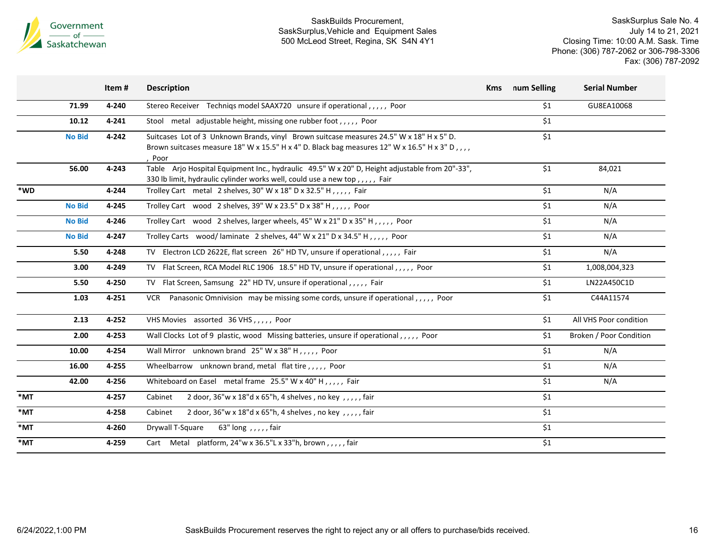

|     |               | Item# | <b>Description</b>                                                                                                                                                                                | <b>Kms</b> | num Selling | <b>Serial Number</b>    |
|-----|---------------|-------|---------------------------------------------------------------------------------------------------------------------------------------------------------------------------------------------------|------------|-------------|-------------------------|
|     | 71.99         | 4-240 | Stereo Receiver Techniqs model SAAX720 unsure if operational,,,,, Poor                                                                                                                            |            | \$1         | GU8EA10068              |
|     | 10.12         | 4-241 | Stool metal adjustable height, missing one rubber foot,,,,, Poor                                                                                                                                  |            | \$1         |                         |
|     | <b>No Bid</b> | 4-242 | Suitcases Lot of 3 Unknown Brands, vinyl Brown suitcase measures 24.5" W x 18" H x 5" D.<br>Brown suitcases measure 18" W x 15.5" H x 4" D. Black bag measures 12" W x 16.5" H x 3" D,,,,<br>Poor |            | \$1         |                         |
|     | 56.00         | 4-243 | Table Arjo Hospital Equipment Inc., hydraulic 49.5" W x 20" D, Height adjustable from 20"-33",<br>330 lb limit, hydraulic cylinder works well, could use a new top,,,,, Fair                      |            | \$1         | 84,021                  |
| *WD |               | 4-244 | Trolley Cart metal 2 shelves, 30" W x 18" D x 32.5" H,,,,, Fair                                                                                                                                   |            | \$1         | N/A                     |
|     | <b>No Bid</b> | 4-245 | Trolley Cart wood 2 shelves, 39" W x 23.5" D x 38" H, , , , , Poor                                                                                                                                |            | \$1         | N/A                     |
|     | <b>No Bid</b> | 4-246 | Trolley Cart wood 2 shelves, larger wheels, 45" W x 21" D x 35" H,,,,,, Poor                                                                                                                      |            | \$1         | N/A                     |
|     | <b>No Bid</b> | 4-247 | Trolley Carts wood/laminate 2 shelves, 44" W x 21" D x 34.5" H,,,,, Poor                                                                                                                          |            | \$1         | N/A                     |
|     | 5.50          | 4-248 | TV Electron LCD 2622E, flat screen 26" HD TV, unsure if operational,,,,, Fair                                                                                                                     |            | \$1         | N/A                     |
|     | 3.00          | 4-249 | TV Flat Screen, RCA Model RLC 1906 18.5" HD TV, unsure if operational,,,,, Poor                                                                                                                   |            | \$1         | 1,008,004,323           |
|     | 5.50          | 4-250 | TV Flat Screen, Samsung 22" HD TV, unsure if operational, , , , , Fair                                                                                                                            |            | \$1         | LN22A450C1D             |
|     | 1.03          | 4-251 | Panasonic Omnivision may be missing some cords, unsure if operational,,,,, Poor<br>VCR                                                                                                            |            | \$1         | C44A11574               |
|     | 2.13          | 4-252 | VHS Movies assorted 36 VHS,,,,, Poor                                                                                                                                                              |            | \$1         | All VHS Poor condition  |
|     | 2.00          | 4-253 | Wall Clocks Lot of 9 plastic, wood Missing batteries, unsure if operational,,,,, Poor                                                                                                             |            | \$1         | Broken / Poor Condition |
|     | 10.00         | 4-254 | Wall Mirror unknown brand 25" W x 38" H,,,,, Poor                                                                                                                                                 |            | \$1         | N/A                     |
|     | 16.00         | 4-255 | Wheelbarrow unknown brand, metal flat tire,,,,, Poor                                                                                                                                              |            | \$1         | N/A                     |
|     | 42.00         | 4-256 | Whiteboard on Easel metal frame 25.5" W x 40" H,,,,, Fair                                                                                                                                         |            | \$1         | N/A                     |
| *MT |               | 4-257 | 2 door, $36''w \times 18''d \times 65''h$ , 4 shelves, no key, $1, 1, 1$ , fair<br>Cabinet                                                                                                        |            | \$1         |                         |
| *MT |               | 4-258 | 2 door, $36''w \times 18''d \times 65''h$ , 4 shelves, no key, ,,,,, fair<br>Cabinet                                                                                                              |            | \$1         |                         |
| *MT |               | 4-260 | Drywall T-Square<br>63" long , , , , , fair                                                                                                                                                       |            | \$1         |                         |
| *MT |               | 4-259 | Cart Metal platform, $24''w \times 36.5''L \times 33''h$ , brown, , , , , fair                                                                                                                    |            | \$1         |                         |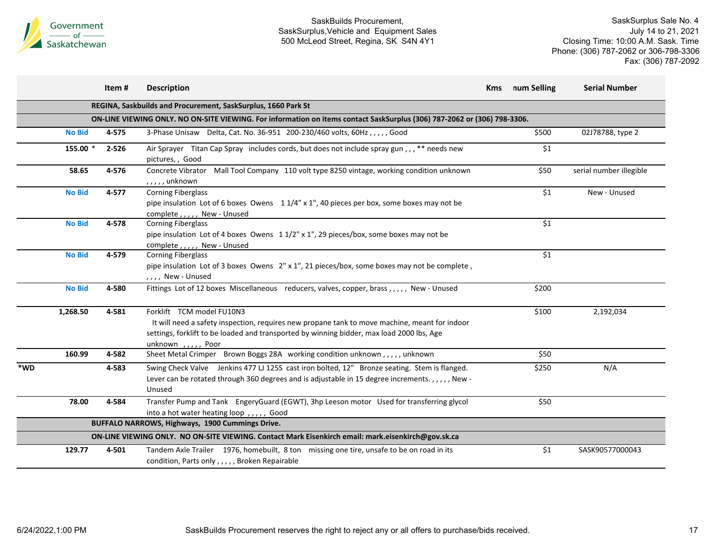

|     |               | Item# | <b>Description</b>                                                                                                                                                                                                                                | <b>Kms</b> | num Selling | <b>Serial Number</b>    |
|-----|---------------|-------|---------------------------------------------------------------------------------------------------------------------------------------------------------------------------------------------------------------------------------------------------|------------|-------------|-------------------------|
|     |               |       | REGINA, Saskbuilds and Procurement, SaskSurplus, 1660 Park St                                                                                                                                                                                     |            |             |                         |
|     |               |       | ON-LINE VIEWING ONLY. NO ON-SITE VIEWING. For information on items contact SaskSurplus (306) 787-2062 or (306) 798-3306.                                                                                                                          |            |             |                         |
|     | <b>No Bid</b> | 4-575 | 3-Phase Unisaw Delta, Cat. No. 36-951 200-230/460 volts, 60Hz,,,,, Good                                                                                                                                                                           |            | \$500       | 02J78788, type 2        |
|     | 155.00 *      | 2-526 | Air Sprayer Titan Cap Spray includes cords, but does not include spray gun,,,** needs new<br>pictures,, Good                                                                                                                                      |            | \$1         |                         |
|     | 58.65         | 4-576 | Mall Tool Company 110 volt type 8250 vintage, working condition unknown<br>Concrete Vibrator<br>$, \ldots,$ , unknown                                                                                                                             |            | \$50        | serial number illegible |
|     | <b>No Bid</b> | 4-577 | <b>Corning Fiberglass</b><br>pipe insulation Lot of 6 boxes Owens $11/4$ " x 1", 40 pieces per box, some boxes may not be<br>complete,,,,,, New - Unused                                                                                          |            | \$1         | New - Unused            |
|     | <b>No Bid</b> | 4-578 | <b>Corning Fiberglass</b><br>pipe insulation Lot of 4 boxes Owens $11/2$ " x 1", 29 pieces/box, some boxes may not be<br>complete,,,,, New - Unused                                                                                               |            | \$1         |                         |
|     | <b>No Bid</b> | 4-579 | <b>Corning Fiberglass</b><br>pipe insulation Lot of 3 boxes Owens 2" x 1", 21 pieces/box, some boxes may not be complete,<br>,,,, New - Unused                                                                                                    |            | \$1         |                         |
|     | <b>No Bid</b> | 4-580 | Fittings Lot of 12 boxes Miscellaneous reducers, valves, copper, brass,,,,,, New - Unused                                                                                                                                                         |            | \$200       |                         |
|     | 1,268.50      | 4-581 | Forklift TCM model FU10N3<br>It will need a safety inspection, requires new propane tank to move machine, meant for indoor<br>settings, forklift to be loaded and transported by winning bidder, max load 2000 lbs, Age<br>unknown , , , , , Poor |            | \$100       | 2,192,034               |
|     | 160.99        | 4-582 | Sheet Metal Crimper Brown Boggs 28A working condition unknown,,,,,unknown                                                                                                                                                                         |            | \$50        |                         |
| *WD |               | 4-583 | Swing Check Valve Jenkins 477 LJ 125S cast iron bolted, 12" Bronze seating. Stem is flanged.<br>Lever can be rotated through 360 degrees and is adjustable in 15 degree increments.,,,,, New -<br>Unused                                          |            | \$250       | N/A                     |
|     | 78.00         | 4-584 | Transfer Pump and Tank EngeryGuard (EGWT), 3hp Leeson motor Used for transferring glycol<br>into a hot water heating loop,,,,, Good                                                                                                               |            | \$50        |                         |
|     |               |       | BUFFALO NARROWS, Highways, 1900 Cummings Drive.                                                                                                                                                                                                   |            |             |                         |
|     |               |       | ON-LINE VIEWING ONLY. NO ON-SITE VIEWING. Contact Mark Eisenkirch email: mark.eisenkirch@gov.sk.ca                                                                                                                                                |            |             |                         |
|     | 129.77        | 4-501 | Tandem Axle Trailer 1976, homebuilt, 8 ton missing one tire, unsafe to be on road in its<br>condition, Parts only,,,,, Broken Repairable                                                                                                          |            | \$1         | SASK90577000043         |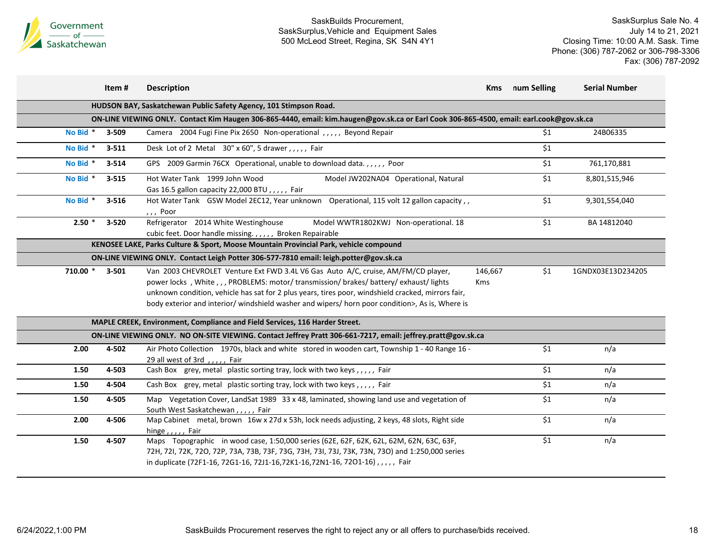

|          | Item#     | <b>Description</b>                                                                                                                                                                                                                                                                                                                                                            | <b>Kms</b>            | num Selling | <b>Serial Number</b> |
|----------|-----------|-------------------------------------------------------------------------------------------------------------------------------------------------------------------------------------------------------------------------------------------------------------------------------------------------------------------------------------------------------------------------------|-----------------------|-------------|----------------------|
|          |           | HUDSON BAY, Saskatchewan Public Safety Agency, 101 Stimpson Road.                                                                                                                                                                                                                                                                                                             |                       |             |                      |
|          |           | ON-LINE VIEWING ONLY. Contact Kim Haugen 306-865-4440, email: kim.haugen@gov.sk.ca or Earl Cook 306-865-4500, email: earl.cook@gov.sk.ca                                                                                                                                                                                                                                      |                       |             |                      |
| No Bid * | 3-509     | Camera 2004 Fugi Fine Pix 2650 Non-operational , , , , , Beyond Repair                                                                                                                                                                                                                                                                                                        |                       | \$1         | 24B06335             |
| No Bid * | $3 - 511$ | Desk Lot of 2 Metal 30" x 60", 5 drawer, , , , , Fair                                                                                                                                                                                                                                                                                                                         |                       | \$1         |                      |
| No Bid * | $3 - 514$ | GPS 2009 Garmin 76CX Operational, unable to download data.,,,,, Poor                                                                                                                                                                                                                                                                                                          |                       | \$1         | 761,170,881          |
| No Bid * | $3 - 515$ | Hot Water Tank 1999 John Wood<br>Model JW202NA04 Operational, Natural<br>Gas 16.5 gallon capacity 22,000 BTU,,,,, Fair                                                                                                                                                                                                                                                        |                       | \$1         | 8,801,515,946        |
| No Bid * | $3 - 516$ | Hot Water Tank GSW Model 2EC12, Year unknown Operational, 115 volt 12 gallon capacity,<br>,,, Poor                                                                                                                                                                                                                                                                            |                       | \$1         | 9,301,554,040        |
| $2.50*$  | 3-520     | Refrigerator 2014 White Westinghouse<br>Model WWTR1802KWJ Non-operational. 18<br>cubic feet. Door handle missing.,,,,, Broken Repairable                                                                                                                                                                                                                                      |                       | \$1         | BA 14812040          |
|          |           | KENOSEE LAKE, Parks Culture & Sport, Moose Mountain Provincial Park, vehicle compound                                                                                                                                                                                                                                                                                         |                       |             |                      |
|          |           | ON-LINE VIEWING ONLY. Contact Leigh Potter 306-577-7810 email: leigh.potter@gov.sk.ca                                                                                                                                                                                                                                                                                         |                       |             |                      |
| 710.00 * | $3 - 501$ | Van 2003 CHEVROLET Venture Ext FWD 3.4L V6 Gas Auto A/C, cruise, AM/FM/CD player,<br>power locks, White,,,PROBLEMS: motor/transmission/brakes/battery/exhaust/lights<br>unknown condition, vehicle has sat for 2 plus years, tires poor, windshield cracked, mirrors fair,<br>body exterior and interior/ windshield washer and wipers/ horn poor condition>, As is, Where is | 146,667<br><b>Kms</b> | \$1         | 1GNDX03E13D234205    |
|          |           | MAPLE CREEK, Environment, Compliance and Field Services, 116 Harder Street.                                                                                                                                                                                                                                                                                                   |                       |             |                      |
|          |           | ON-LINE VIEWING ONLY. NO ON-SITE VIEWING. Contact Jeffrey Pratt 306-661-7217, email: jeffrey.pratt@gov.sk.ca                                                                                                                                                                                                                                                                  |                       |             |                      |
| 2.00     | 4-502     | Air Photo Collection 1970s, black and white stored in wooden cart, Township 1 - 40 Range 16 -<br>29 all west of 3rd,,,,, Fair                                                                                                                                                                                                                                                 |                       | \$1         | n/a                  |
| 1.50     | 4-503     | Cash Box grey, metal plastic sorting tray, lock with two keys,,,,, Fair                                                                                                                                                                                                                                                                                                       |                       | \$1         | n/a                  |
| 1.50     | 4-504     | Cash Box grey, metal plastic sorting tray, lock with two keys,,,,, Fair                                                                                                                                                                                                                                                                                                       |                       | \$1         | n/a                  |
| 1.50     | 4-505     | Map Vegetation Cover, LandSat 1989 33 x 48, laminated, showing land use and vegetation of<br>South West Saskatchewan,,,,, Fair                                                                                                                                                                                                                                                |                       | \$1         | n/a                  |
| 2.00     | 4-506     | Map Cabinet metal, brown 16w x 27d x 53h, lock needs adjusting, 2 keys, 48 slots, Right side<br>hinge,,,,, Fair                                                                                                                                                                                                                                                               |                       | \$1         | n/a                  |
| 1.50     | 4-507     | Maps Topographic in wood case, 1:50,000 series (62E, 62F, 62K, 62L, 62M, 62N, 63C, 63F,<br>72H, 72I, 72K, 72O, 72P, 73A, 73B, 73F, 73G, 73H, 73I, 73J, 73K, 73N, 73O) and 1:250,000 series<br>in duplicate (72F1-16, 72G1-16, 72J1-16, 72K1-16, 72N1-16, 72O1-16),,,,, Fair                                                                                                   |                       | \$1         | n/a                  |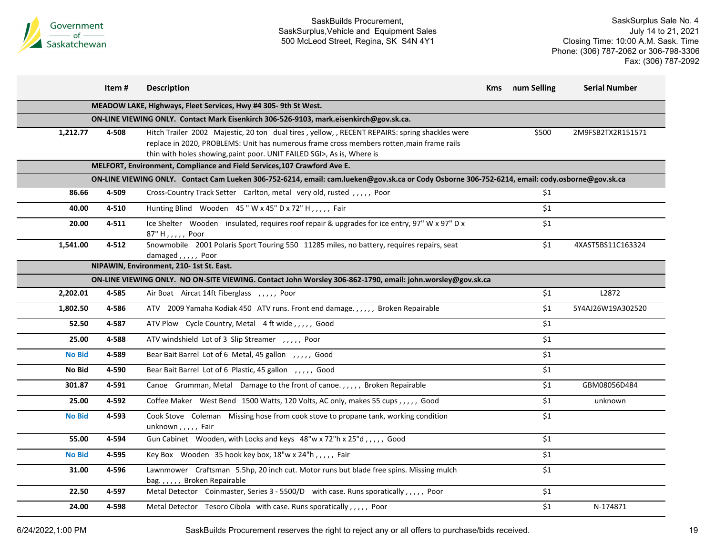

SaskSurplus Sale No. 4 July 14 to 21, 2021 Closing Time: 10:00 A.M. Sask. Time Phone: (306) 787-2062 or 306-798-3306 Fax: (306) 787-2092

|               | Item# | <b>Description</b>                                                                                                                                                                                                                                                    | <b>Kms</b> num Selling | <b>Serial Number</b> |
|---------------|-------|-----------------------------------------------------------------------------------------------------------------------------------------------------------------------------------------------------------------------------------------------------------------------|------------------------|----------------------|
|               |       | MEADOW LAKE, Highways, Fleet Services, Hwy #4 305-9th St West.                                                                                                                                                                                                        |                        |                      |
|               |       | ON-LINE VIEWING ONLY. Contact Mark Eisenkirch 306-526-9103, mark.eisenkirch@gov.sk.ca.                                                                                                                                                                                |                        |                      |
| 1,212.77      | 4-508 | Hitch Trailer 2002 Majestic, 20 ton dual tires, yellow, , RECENT REPAIRS: spring shackles were<br>replace in 2020, PROBLEMS: Unit has numerous frame cross members rotten, main frame rails<br>thin with holes showing, paint poor. UNIT FAILED SGI>, As is, Where is | \$500                  | 2M9FSB2TX2R151571    |
|               |       | MELFORT, Environment, Compliance and Field Services, 107 Crawford Ave E.                                                                                                                                                                                              |                        |                      |
|               |       | ON-LINE VIEWING ONLY. Contact Cam Lueken 306-752-6214, email: cam.lueken@gov.sk.ca or Cody Osborne 306-752-6214, email: cody.osborne@gov.sk.ca                                                                                                                        |                        |                      |
| 86.66         | 4-509 | Cross-Country Track Setter Carlton, metal very old, rusted, , Poor                                                                                                                                                                                                    | \$1                    |                      |
| 40.00         | 4-510 | Hunting Blind Wooden 45" W x 45" D x 72" H,,,,, Fair                                                                                                                                                                                                                  | \$1                    |                      |
| 20.00         | 4-511 | Ice Shelter Wooden insulated, requires roof repair & upgrades for ice entry, 97" W x 97" D x<br>87" H,,,,,, Poor                                                                                                                                                      | \$1                    |                      |
| 1,541.00      | 4-512 | Snowmobile 2001 Polaris Sport Touring 550 11285 miles, no battery, requires repairs, seat<br>damaged,,,,, Poor                                                                                                                                                        | \$1                    | 4XAST5BS11C163324    |
|               |       | NIPAWIN, Environment, 210-1st St. East.                                                                                                                                                                                                                               |                        |                      |
|               |       | ON-LINE VIEWING ONLY. NO ON-SITE VIEWING. Contact John Worsley 306-862-1790, email: john.worsley@gov.sk.ca                                                                                                                                                            |                        |                      |
| 2,202.01      | 4-585 | Air Boat Aircat 14ft Fiberglass , , , , , Poor                                                                                                                                                                                                                        | \$1                    | L2872                |
| 1,802.50      | 4-586 | ATV 2009 Yamaha Kodiak 450 ATV runs. Front end damage.,,,,,, Broken Repairable                                                                                                                                                                                        | \$1                    | 5Y4AJ26W19A302520    |
| 52.50         | 4-587 | ATV Plow Cycle Country, Metal 4 ft wide, , , , , Good                                                                                                                                                                                                                 | \$1                    |                      |
| 25.00         | 4-588 | ATV windshield Lot of 3 Slip Streamer, ,,,,, Poor                                                                                                                                                                                                                     | \$1                    |                      |
| <b>No Bid</b> | 4-589 | Bear Bait Barrel Lot of 6 Metal, 45 gallon ,,,,, Good                                                                                                                                                                                                                 | \$1                    |                      |
| No Bid        | 4-590 | Bear Bait Barrel Lot of 6 Plastic, 45 gallon, ,,,,, Good                                                                                                                                                                                                              | \$1                    |                      |
| 301.87        | 4-591 | Canoe Grumman, Metal Damage to the front of canoe.,,,,, Broken Repairable                                                                                                                                                                                             | \$1                    | GBM08056D484         |
| 25.00         | 4-592 | Coffee Maker West Bend 1500 Watts, 120 Volts, AC only, makes 55 cups,,,,, Good                                                                                                                                                                                        | \$1                    | unknown              |
| <b>No Bid</b> | 4-593 | Cook Stove Coleman Missing hose from cook stove to propane tank, working condition<br>unknown,,,,,Fair                                                                                                                                                                | \$1                    |                      |
| 55.00         | 4-594 | Gun Cabinet Wooden, with Locks and keys 48"w x 72"h x 25"d,,,,, Good                                                                                                                                                                                                  | \$1                    |                      |
| <b>No Bid</b> | 4-595 | Key Box Wooden 35 hook key box, 18"w x 24"h,,,,, Fair                                                                                                                                                                                                                 | \$1                    |                      |
| 31.00         | 4-596 | Lawnmower Craftsman 5.5hp, 20 inch cut. Motor runs but blade free spins. Missing mulch<br>bag.,,,,, Broken Repairable                                                                                                                                                 | \$1                    |                      |
| 22.50         | 4-597 | Metal Detector Coinmaster, Series 3 - 5500/D with case. Runs sporatically, , , , , Poor                                                                                                                                                                               | \$1                    |                      |
| 24.00         | 4-598 | Metal Detector Tesoro Cibola with case. Runs sporatically, , , , , Poor                                                                                                                                                                                               | \$1                    | N-174871             |

6/24/2022,1:00 PM SaskBuilds Procurement reserves the right to reject any or all offers to purchase/bids received.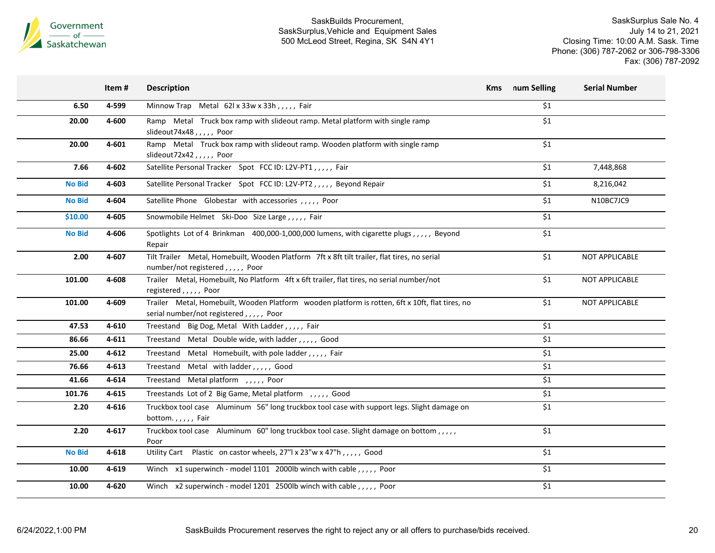

|               | Item #    | <b>Description</b>                                                                                                                         | Kms | num Selling      | <b>Serial Number</b> |
|---------------|-----------|--------------------------------------------------------------------------------------------------------------------------------------------|-----|------------------|----------------------|
| 6.50          | 4-599     | Minnow Trap Metal 62l x 33w x 33h,,,,, Fair                                                                                                |     | \$1              |                      |
| 20.00         | 4-600     | Ramp Metal Truck box ramp with slideout ramp. Metal platform with single ramp<br>slideout74x48,,,,,Poor                                    |     | \$1              |                      |
| 20.00         | 4-601     | Ramp Metal Truck box ramp with slideout ramp. Wooden platform with single ramp<br>slideout72x42,,,,, Poor                                  |     | \$1              |                      |
| 7.66          | 4-602     | Satellite Personal Tracker Spot FCC ID: L2V-PT1,,,,, Fair                                                                                  |     | \$1              | 7,448,868            |
| <b>No Bid</b> | 4-603     | Satellite Personal Tracker    Spot    FCC ID: L2V-PT2,,,,,    Beyond Repair                                                                |     | \$1              | 8,216,042            |
| <b>No Bid</b> | 4-604     | Satellite Phone Globestar with accessories , , , , , Poor                                                                                  |     | \$1              | N10BC7JC9            |
| \$10.00       | 4-605     | Snowmobile Helmet Ski-Doo Size Large,,,,, Fair                                                                                             |     | \$1              |                      |
| <b>No Bid</b> | 4-606     | Spotlights Lot of 4 Brinkman 400,000-1,000,000 lumens, with cigarette plugs,,,,, Beyond<br>Repair                                          |     | \$1              |                      |
| 2.00          | 4-607     | Tilt Trailer Metal, Homebuilt, Wooden Platform 7ft x 8ft tilt trailer, flat tires, no serial<br>number/not registered,,,,,, Poor           |     | \$1              | NOT APPLICABLE       |
| 101.00        | 4-608     | Trailer Metal, Homebuilt, No Platform 4ft x 6ft trailer, flat tires, no serial number/not<br>registered,,,,,, Poor                         |     | \$1              | NOT APPLICABLE       |
| 101.00        | 4-609     | Trailer Metal, Homebuilt, Wooden Platform wooden platform is rotten, 6ft x 10ft, flat tires, no<br>serial number/not registered,,,,,, Poor |     | \$1              | NOT APPLICABLE       |
| 47.53         | 4-610     | Treestand Big Dog, Metal With Ladder,,,,,Fair                                                                                              |     | \$1              |                      |
| 86.66         | 4-611     | Treestand Metal Double wide, with ladder,,,,,, Good                                                                                        |     | \$1              |                      |
| 25.00         | 4-612     | Treestand Metal Homebuilt, with pole ladder,,,,, Fair                                                                                      |     | \$1              |                      |
| 76.66         | $4 - 613$ | Treestand Metal with ladder,,,,,, Good                                                                                                     |     | \$1              |                      |
| 41.66         | 4-614     | Treestand Metal platform, ,,,,, Poor                                                                                                       |     | \$1              |                      |
| 101.76        | 4-615     | Treestands Lot of 2 Big Game, Metal platform , , , , , Good                                                                                |     | \$1              |                      |
| 2.20          | 4-616     | Truckbox tool case Aluminum 56" long truckbox tool case with support legs. Slight damage on<br>bottom.,,,,, Fair                           |     | \$1              |                      |
| 2.20          | 4-617     | Truckbox tool case Aluminum 60" long truckbox tool case. Slight damage on bottom,,,,,<br>Poor                                              |     | \$1              |                      |
| <b>No Bid</b> | 4-618     | Utility Cart Plastic on castor wheels, 27"  x 23"w x 47"h,,,,, Good                                                                        |     | \$1              |                      |
| 10.00         | 4-619     | Winch x1 superwinch - model 1101 2000lb winch with cable,,,,, Poor                                                                         |     | \$1              |                      |
| 10.00         | 4-620     | Winch x2 superwinch - model 1201 2500lb winch with cable,,,,, Poor                                                                         |     | $\overline{\$1}$ |                      |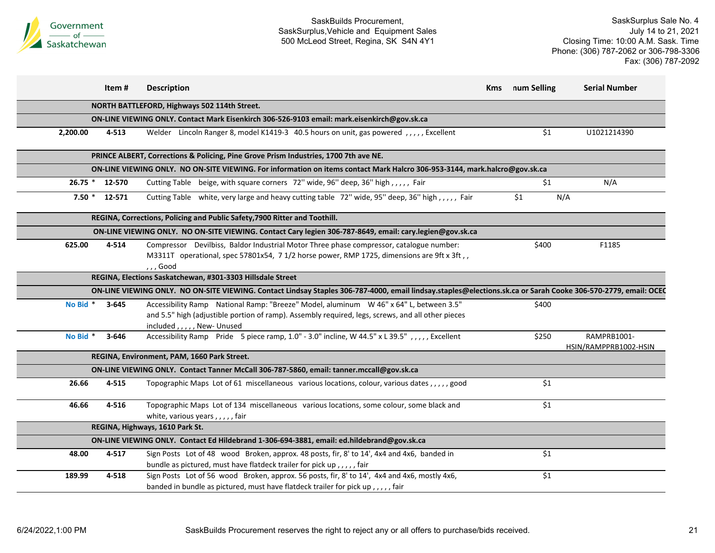

|           | Item#     | <b>Description</b>                                                                                                                                                                                                          | Kms | num Selling | <b>Serial Number</b>                 |
|-----------|-----------|-----------------------------------------------------------------------------------------------------------------------------------------------------------------------------------------------------------------------------|-----|-------------|--------------------------------------|
|           |           | NORTH BATTLEFORD, Highways 502 114th Street.                                                                                                                                                                                |     |             |                                      |
|           |           | ON-LINE VIEWING ONLY. Contact Mark Eisenkirch 306-526-9103 email: mark.eisenkirch@gov.sk.ca                                                                                                                                 |     |             |                                      |
| 2,200.00  | 4-513     | Welder Lincoln Ranger 8, model K1419-3 40.5 hours on unit, gas powered, ,,,,, Excellent                                                                                                                                     |     | \$1         | U1021214390                          |
|           |           | PRINCE ALBERT, Corrections & Policing, Pine Grove Prism Industries, 1700 7th ave NE.                                                                                                                                        |     |             |                                      |
|           |           | ON-LINE VIEWING ONLY. NO ON-SITE VIEWING. For information on items contact Mark Halcro 306-953-3144, mark.halcro@gov.sk.ca                                                                                                  |     |             |                                      |
| $26.75$ * | 12-570    | Cutting Table beige, with square corners 72" wide, 96" deep, 36" high,,,,, Fair                                                                                                                                             |     | \$1         | N/A                                  |
| $7.50*$   | 12-571    | Cutting Table white, very large and heavy cutting table 72" wide, 95" deep, 36" high,,,,, Fair                                                                                                                              |     | \$1         | N/A                                  |
|           |           | REGINA, Corrections, Policing and Public Safety, 7900 Ritter and Toothill.                                                                                                                                                  |     |             |                                      |
|           |           | ON-LINE VIEWING ONLY. NO ON-SITE VIEWING. Contact Cary legien 306-787-8649, email: cary.legien@gov.sk.ca                                                                                                                    |     |             |                                      |
| 625.00    | 4-514     | Compressor Devilbiss, Baldor Industrial Motor Three phase compressor, catalogue number:<br>M3311T operational, spec 57801x54, 7 1/2 horse power, RMP 1725, dimensions are 9ft x 3ft, ,<br>, , , Good                        |     | \$400       | F1185                                |
|           |           | REGINA, Elections Saskatchewan, #301-3303 Hillsdale Street                                                                                                                                                                  |     |             |                                      |
|           |           | ON-LINE VIEWING ONLY. NO ON-SITE VIEWING. Contact Lindsay Staples 306-787-4000, email lindsay.staples@elections.sk.ca or Sarah Cooke 306-570-2779, email: OCEC                                                              |     |             |                                      |
| No Bid *  | $3 - 645$ | Accessibility Ramp National Ramp: "Breeze" Model, aluminum W 46" x 64" L, between 3.5"<br>and 5.5" high (adjustible portion of ramp). Assembly required, legs, screws, and all other pieces<br>included, , , , , New-Unused |     | \$400       |                                      |
| No Bid *  | $3 - 646$ | Accessibility Ramp Pride 5 piece ramp, 1.0" - 3.0" incline, W 44.5" x L 39.5",,,,, Excellent                                                                                                                                |     | \$250       | RAMPRB1001-<br>HSIN/RAMPPRB1002-HSIN |
|           |           | REGINA, Environment, PAM, 1660 Park Street.                                                                                                                                                                                 |     |             |                                      |
|           |           | ON-LINE VIEWING ONLY. Contact Tanner McCall 306-787-5860, email: tanner.mccall@gov.sk.ca                                                                                                                                    |     |             |                                      |
| 26.66     | 4-515     | Topographic Maps Lot of 61 miscellaneous various locations, colour, various dates,,,,,good                                                                                                                                  |     | \$1         |                                      |
| 46.66     | 4-516     | Topographic Maps Lot of 134 miscellaneous various locations, some colour, some black and<br>white, various years,,,,, fair                                                                                                  |     | \$1         |                                      |
|           |           | REGINA, Highways, 1610 Park St.                                                                                                                                                                                             |     |             |                                      |
|           |           | ON-LINE VIEWING ONLY. Contact Ed Hildebrand 1-306-694-3881, email: ed.hildebrand@gov.sk.ca                                                                                                                                  |     |             |                                      |
| 48.00     | $4 - 517$ | Sign Posts Lot of 48 wood Broken, approx. 48 posts, fir, 8' to 14', 4x4 and 4x6, banded in<br>bundle as pictured, must have flatdeck trailer for pick up,,,,, fair                                                          |     | \$1         |                                      |
| 189.99    | 4-518     | Sign Posts Lot of 56 wood Broken, approx. 56 posts, fir, 8' to 14', 4x4 and 4x6, mostly 4x6,<br>banded in bundle as pictured, must have flatdeck trailer for pick up,,,,, fair                                              |     | \$1         |                                      |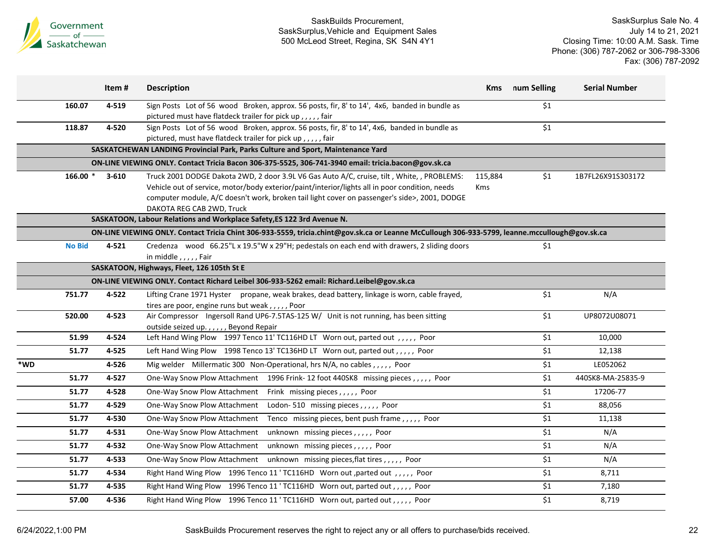

|     |               | Item#     | <b>Description</b>                                                                                                                             | <b>Kms</b> | num Selling        | <b>Serial Number</b> |
|-----|---------------|-----------|------------------------------------------------------------------------------------------------------------------------------------------------|------------|--------------------|----------------------|
|     | 160.07        | 4-519     | Sign Posts Lot of 56 wood Broken, approx. 56 posts, fir, 8' to 14', 4x6, banded in bundle as                                                   |            | \$1                |                      |
|     |               |           | pictured must have flatdeck trailer for pick up,,,,, fair                                                                                      |            |                    |                      |
|     | 118.87        | 4-520     | Sign Posts Lot of 56 wood Broken, approx. 56 posts, fir, 8' to 14', 4x6, banded in bundle as                                                   |            | \$1                |                      |
|     |               |           | pictured, must have flatdeck trailer for pick up,,,,, fair                                                                                     |            |                    |                      |
|     |               |           | SASKATCHEWAN LANDING Provincial Park, Parks Culture and Sport, Maintenance Yard                                                                |            |                    |                      |
|     |               |           | ON-LINE VIEWING ONLY. Contact Tricia Bacon 306-375-5525, 306-741-3940 email: tricia.bacon@gov.sk.ca                                            |            |                    |                      |
|     | $166.00*$     | $3 - 610$ | Truck 2001 DODGE Dakota 2WD, 2 door 3.9L V6 Gas Auto A/C, cruise, tilt, White,, PROBLEMS:                                                      | 115,884    | \$1                | 1B7FL26X91S303172    |
|     |               |           | Vehicle out of service, motor/body exterior/paint/interior/lights all in poor condition, needs                                                 | <b>Kms</b> |                    |                      |
|     |               |           | computer module, A/C doesn't work, broken tail light cover on passenger's side>, 2001, DODGE                                                   |            |                    |                      |
|     |               |           | DAKOTA REG CAB 2WD, Truck                                                                                                                      |            |                    |                      |
|     |               |           | SASKATOON, Labour Relations and Workplace Safety, ES 122 3rd Avenue N.                                                                         |            |                    |                      |
|     |               |           | ON-LINE VIEWING ONLY. Contact Tricia Chint 306-933-5559, tricia.chint@gov.sk.ca or Leanne McCullough 306-933-5799, leanne.mccullough@gov.sk.ca |            |                    |                      |
|     | <b>No Bid</b> | $4 - 521$ | Credenza wood 66.25"L x 19.5"W x 29"H; pedestals on each end with drawers, 2 sliding doors                                                     |            | \$1                |                      |
|     |               |           | in middle,,,,,Fair                                                                                                                             |            |                    |                      |
|     |               |           | SASKATOON, Highways, Fleet, 126 105th St E                                                                                                     |            |                    |                      |
|     |               |           | ON-LINE VIEWING ONLY. Contact Richard Leibel 306-933-5262 email: Richard.Leibel@gov.sk.ca                                                      |            |                    |                      |
|     | 751.77        | 4-522     | Lifting Crane 1971 Hyster propane, weak brakes, dead battery, linkage is worn, cable frayed,                                                   |            | \$1                | N/A                  |
|     |               |           | tires are poor, engine runs but weak,,,,,Poor                                                                                                  |            |                    |                      |
|     | 520.00        | 4-523     | Air Compressor Ingersoll Rand UP6-7.5TAS-125 W/ Unit is not running, has been sitting                                                          |            | \$1                | UP8072U08071         |
|     |               |           | outside seized up.,,,,, Beyond Repair                                                                                                          |            |                    |                      |
|     | 51.99         | 4-524     | Left Hand Wing Plow 1997 Tenco 11' TC116HD LT Worn out, parted out, ,,,,, Poor                                                                 |            | \$1                | 10,000               |
|     | 51.77         | 4-525     | Left Hand Wing Plow 1998 Tenco 13' TC136HD LT Worn out, parted out, ,,,, Poor                                                                  |            | $\overline{\$1}$   | 12,138               |
| *WD |               | 4-526     | Mig welder Millermatic 300 Non-Operational, hrs N/A, no cables,,,,, Poor                                                                       |            | \$1                | LE052062             |
|     | 51.77         | 4-527     | One-Way Snow Plow Attachment 1996 Frink-12 foot 440SK8 missing pieces,,,,,, Poor                                                               |            | \$1                | 440SK8-MA-25835-9    |
|     | 51.77         | 4-528     | One-Way Snow Plow Attachment Frink missing pieces,,,,,, Poor                                                                                   |            | \$1                | 17206-77             |
|     | 51.77         | 4-529     | One-Way Snow Plow Attachment Lodon-510 missing pieces,,,,, Poor                                                                                |            | \$1                | 88,056               |
|     | 51.77         | 4-530     | One-Way Snow Plow Attachment Tenco missing pieces, bent push frame,,,,, Poor                                                                   |            | $\overline{\$1}$   | 11,138               |
|     | 51.77         | 4-531     | One-Way Snow Plow Attachment<br>unknown missing pieces,,,,,, Poor                                                                              |            | \$1                | N/A                  |
|     | 51.77         | 4-532     | One-Way Snow Plow Attachment<br>unknown missing pieces,,,,, Poor                                                                               |            | \$1                | N/A                  |
|     | 51.77         | 4-533     | One-Way Snow Plow Attachment unknown missing pieces, flat tires,,,,, Poor                                                                      |            | $\overline{\$1}$   | N/A                  |
|     | 51.77         | 4-534     | Right Hand Wing Plow 1996 Tenco 11 ' TC116HD Worn out , parted out , , , , , Poor                                                              |            | \$1                | 8,711                |
|     | 51.77         | 4-535     | Right Hand Wing Plow 1996 Tenco 11 ' TC116HD Worn out, parted out, ,,,, Poor                                                                   |            | \$1                | 7,180                |
|     | 57.00         | 4-536     | Right Hand Wing Plow 1996 Tenco 11 ' TC116HD Worn out, parted out, ,,,, Poor                                                                   |            | $\overline{\xi_1}$ | 8,719                |
|     |               |           |                                                                                                                                                |            |                    |                      |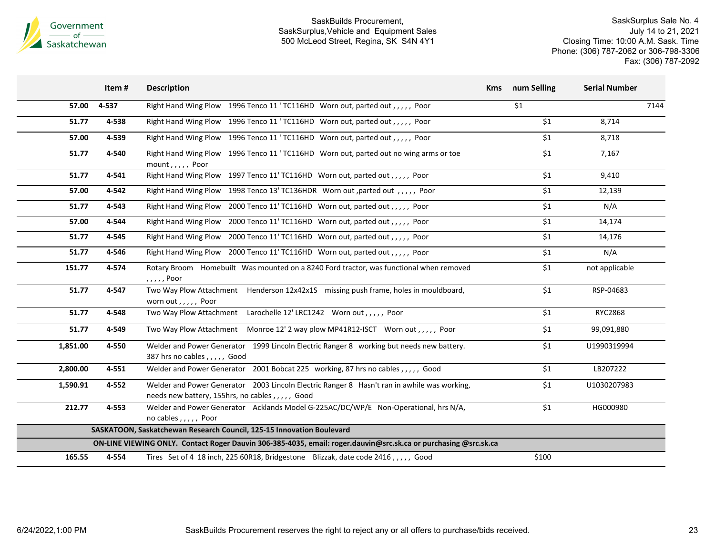

|          | Item# | <b>Description</b>                                                                                                                             | num Selling<br><b>Kms</b> | <b>Serial Number</b> |
|----------|-------|------------------------------------------------------------------------------------------------------------------------------------------------|---------------------------|----------------------|
| 57.00    | 4-537 | Right Hand Wing Plow 1996 Tenco 11 ' TC116HD Worn out, parted out, , , , , Poor                                                                | \$1                       | 7144                 |
| 51.77    | 4-538 | Right Hand Wing Plow 1996 Tenco 11 ' TC116HD Worn out, parted out,,,,, Poor                                                                    | \$1                       | 8,714                |
| 57.00    | 4-539 | Right Hand Wing Plow 1996 Tenco 11 ' TC116HD Worn out, parted out, ,,,, Poor                                                                   | \$1                       | 8,718                |
| 51.77    | 4-540 | Right Hand Wing Plow 1996 Tenco 11 ' TC116HD Worn out, parted out no wing arms or toe<br>mount,,,,, Poor                                       | \$1                       | 7,167                |
| 51.77    | 4-541 | Right Hand Wing Plow 1997 Tenco 11' TC116HD Worn out, parted out, ,,,, Poor                                                                    | \$1                       | 9,410                |
| 57.00    | 4-542 | Right Hand Wing Plow 1998 Tenco 13' TC136HDR Worn out ,parted out , , , , , , Poor                                                             | \$1                       | 12,139               |
| 51.77    | 4-543 | Right Hand Wing Plow 2000 Tenco 11' TC116HD Worn out, parted out, ,,,, Poor                                                                    | \$1                       | N/A                  |
| 57.00    | 4-544 | Right Hand Wing Plow 2000 Tenco 11' TC116HD Worn out, parted out,,,,, Poor                                                                     | \$1                       | 14,174               |
| 51.77    | 4-545 | Right Hand Wing Plow 2000 Tenco 11' TC116HD Worn out, parted out,,,,, Poor                                                                     | \$1                       | 14,176               |
| 51.77    | 4-546 | Right Hand Wing Plow 2000 Tenco 11' TC116HD Worn out, parted out, ,,,, Poor                                                                    | \$1                       | N/A                  |
| 151.77   | 4-574 | Rotary Broom Homebuilt Was mounted on a 8240 Ford tractor, was functional when removed<br>, , , , , Poor                                       | \$1                       | not applicable       |
| 51.77    | 4-547 | Two Way Plow Attachment Henderson 12x42x1S missing push frame, holes in mouldboard,<br>worn out,,,,, Poor                                      | \$1                       | RSP-04683            |
| 51.77    | 4-548 | Two Way Plow Attachment Larochelle 12' LRC1242 Worn out,,,,, Poor                                                                              | \$1                       | RYC2868              |
| 51.77    | 4-549 | Two Way Plow Attachment Monroe 12' 2 way plow MP41R12-ISCT Worn out,,,,, Poor                                                                  | \$1                       | 99,091,880           |
| 1,851.00 | 4-550 | Welder and Power Generator 1999 Lincoln Electric Ranger 8 working but needs new battery.<br>387 hrs no cables,,,,, Good                        | \$1                       | U1990319994          |
| 2,800.00 | 4-551 | Welder and Power Generator 2001 Bobcat 225 working, 87 hrs no cables,,,,, Good                                                                 | \$1                       | LB207222             |
| 1,590.91 | 4-552 | Welder and Power Generator 2003 Lincoln Electric Ranger 8 Hasn't ran in awhile was working,<br>needs new battery, 155hrs, no cables,,,,,, Good | \$1                       | U1030207983          |
| 212.77   | 4-553 | Welder and Power Generator Acklands Model G-225AC/DC/WP/E Non-Operational, hrs N/A,<br>no cables,,,,, Poor                                     | \$1                       | HG000980             |
|          |       | SASKATOON, Saskatchewan Research Council, 125-15 Innovation Boulevard                                                                          |                           |                      |
|          |       | ON-LINE VIEWING ONLY. Contact Roger Dauvin 306-385-4035, email: roger.dauvin@src.sk.ca or purchasing @src.sk.ca                                |                           |                      |
| 165.55   | 4-554 | Tires Set of 4 18 inch, 225 60R18, Bridgestone Blizzak, date code 2416,,,,, Good                                                               | \$100                     |                      |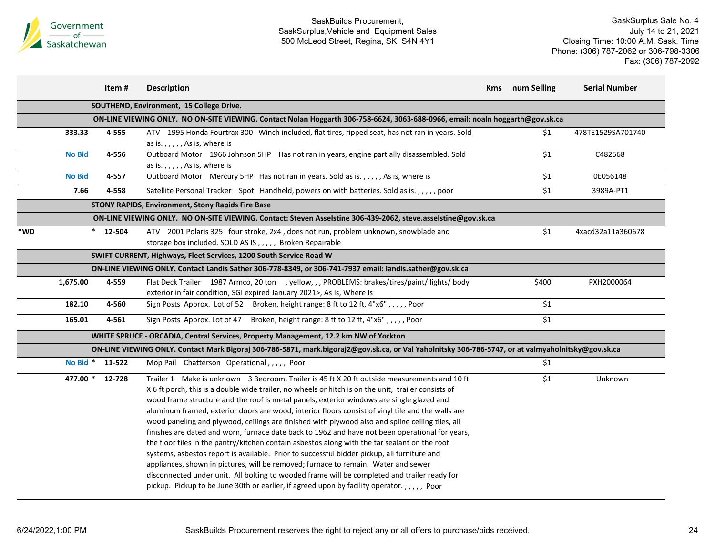

|     |                 | Item #     | <b>Description</b>                                                                                                                                                                                                                                                                                                                                                                                                                                                                                                                                                                                                                                                                                                                                                                                                                                                                                                                                                                                                                                                                              | Kms | num Selling | <b>Serial Number</b> |
|-----|-----------------|------------|-------------------------------------------------------------------------------------------------------------------------------------------------------------------------------------------------------------------------------------------------------------------------------------------------------------------------------------------------------------------------------------------------------------------------------------------------------------------------------------------------------------------------------------------------------------------------------------------------------------------------------------------------------------------------------------------------------------------------------------------------------------------------------------------------------------------------------------------------------------------------------------------------------------------------------------------------------------------------------------------------------------------------------------------------------------------------------------------------|-----|-------------|----------------------|
|     |                 |            | SOUTHEND, Environment, 15 College Drive.                                                                                                                                                                                                                                                                                                                                                                                                                                                                                                                                                                                                                                                                                                                                                                                                                                                                                                                                                                                                                                                        |     |             |                      |
|     |                 |            | ON-LINE VIEWING ONLY. NO ON-SITE VIEWING. Contact Nolan Hoggarth 306-758-6624, 3063-688-0966, email: noaln hoggarth@gov.sk.ca                                                                                                                                                                                                                                                                                                                                                                                                                                                                                                                                                                                                                                                                                                                                                                                                                                                                                                                                                                   |     |             |                      |
|     | 333.33          | 4-555      | ATV 1995 Honda Fourtrax 300 Winch included, flat tires, ripped seat, has not ran in years. Sold<br>as is.,,,,, As is, where is                                                                                                                                                                                                                                                                                                                                                                                                                                                                                                                                                                                                                                                                                                                                                                                                                                                                                                                                                                  |     | \$1         | 478TE1529SA701740    |
|     | <b>No Bid</b>   | 4-556      | Outboard Motor 1966 Johnson 5HP Has not ran in years, engine partially disassembled. Sold<br>as is.,,,,, As is, where is                                                                                                                                                                                                                                                                                                                                                                                                                                                                                                                                                                                                                                                                                                                                                                                                                                                                                                                                                                        |     | \$1         | C482568              |
|     | <b>No Bid</b>   | 4-557      | Outboard Motor Mercury 5HP Has not ran in years. Sold as is.,,,,, As is, where is                                                                                                                                                                                                                                                                                                                                                                                                                                                                                                                                                                                                                                                                                                                                                                                                                                                                                                                                                                                                               |     | \$1         | 0E056148             |
|     | 7.66            | 4-558      | Satellite Personal Tracker Spot Handheld, powers on with batteries. Sold as is.,,,,,poor                                                                                                                                                                                                                                                                                                                                                                                                                                                                                                                                                                                                                                                                                                                                                                                                                                                                                                                                                                                                        |     | \$1         | 3989A-PT1            |
|     |                 |            | <b>STONY RAPIDS, Environment, Stony Rapids Fire Base</b>                                                                                                                                                                                                                                                                                                                                                                                                                                                                                                                                                                                                                                                                                                                                                                                                                                                                                                                                                                                                                                        |     |             |                      |
|     |                 |            | ON-LINE VIEWING ONLY. NO ON-SITE VIEWING. Contact: Steven Asselstine 306-439-2062, steve.asselstine@gov.sk.ca                                                                                                                                                                                                                                                                                                                                                                                                                                                                                                                                                                                                                                                                                                                                                                                                                                                                                                                                                                                   |     |             |                      |
| *WD |                 | $*$ 12-504 | ATV 2001 Polaris 325 four stroke, 2x4, does not run, problem unknown, snowblade and<br>storage box included. SOLD AS IS,,,,, Broken Repairable                                                                                                                                                                                                                                                                                                                                                                                                                                                                                                                                                                                                                                                                                                                                                                                                                                                                                                                                                  |     | \$1         | 4xacd32a11a360678    |
|     |                 |            | SWIFT CURRENT, Highways, Fleet Services, 1200 South Service Road W                                                                                                                                                                                                                                                                                                                                                                                                                                                                                                                                                                                                                                                                                                                                                                                                                                                                                                                                                                                                                              |     |             |                      |
|     |                 |            | ON-LINE VIEWING ONLY. Contact Landis Sather 306-778-8349, or 306-741-7937 email: landis.sather@gov.sk.ca                                                                                                                                                                                                                                                                                                                                                                                                                                                                                                                                                                                                                                                                                                                                                                                                                                                                                                                                                                                        |     |             |                      |
|     | 1,675.00        | 4-559      | Flat Deck Trailer 1987 Armco, 20 ton , yellow, , , PROBLEMS: brakes/tires/paint/ lights/ body<br>exterior in fair condition, SGI expired January 2021>, As Is, Where Is                                                                                                                                                                                                                                                                                                                                                                                                                                                                                                                                                                                                                                                                                                                                                                                                                                                                                                                         |     | \$400       | PXH2000064           |
|     | 182.10          | 4-560      | Sign Posts Approx. Lot of 52 Broken, height range: 8 ft to 12 ft, 4"x6",,,,, Poor                                                                                                                                                                                                                                                                                                                                                                                                                                                                                                                                                                                                                                                                                                                                                                                                                                                                                                                                                                                                               |     | \$1         |                      |
|     | 165.01          | 4-561      | Sign Posts Approx. Lot of 47 Broken, height range: 8 ft to 12 ft, 4"x6",,,,, Poor                                                                                                                                                                                                                                                                                                                                                                                                                                                                                                                                                                                                                                                                                                                                                                                                                                                                                                                                                                                                               |     | \$1         |                      |
|     |                 |            | WHITE SPRUCE - ORCADIA, Central Services, Property Management, 12.2 km NW of Yorkton                                                                                                                                                                                                                                                                                                                                                                                                                                                                                                                                                                                                                                                                                                                                                                                                                                                                                                                                                                                                            |     |             |                      |
|     |                 |            | ON-LINE VIEWING ONLY. Contact Mark Bigoraj 306-786-5871, mark.bigoraj2@gov.sk.ca, or Val Yaholnitsky 306-786-5747, or at valmyaholnitsky@gov.sk.ca                                                                                                                                                                                                                                                                                                                                                                                                                                                                                                                                                                                                                                                                                                                                                                                                                                                                                                                                              |     |             |                      |
|     | No Bid * 11-522 |            | Mop Pail Chatterson Operational,,,,, Poor                                                                                                                                                                                                                                                                                                                                                                                                                                                                                                                                                                                                                                                                                                                                                                                                                                                                                                                                                                                                                                                       |     | \$1         |                      |
|     | 477.00 * 12-728 |            | Trailer 1 Make is unknown 3 Bedroom, Trailer is 45 ft X 20 ft outside measurements and 10 ft<br>X 6 ft porch, this is a double wide trailer, no wheels or hitch is on the unit, trailer consists of<br>wood frame structure and the roof is metal panels, exterior windows are single glazed and<br>aluminum framed, exterior doors are wood, interior floors consist of vinyl tile and the walls are<br>wood paneling and plywood, ceilings are finished with plywood also and spline ceiling tiles, all<br>finishes are dated and worn, furnace date back to 1962 and have not been operational for years,<br>the floor tiles in the pantry/kitchen contain asbestos along with the tar sealant on the roof<br>systems, asbestos report is available. Prior to successful bidder pickup, all furniture and<br>appliances, shown in pictures, will be removed; furnace to remain. Water and sewer<br>disconnected under unit. All bolting to wooded frame will be completed and trailer ready for<br>pickup. Pickup to be June 30th or earlier, if agreed upon by facility operator.,,,,, Poor |     | \$1         | Unknown              |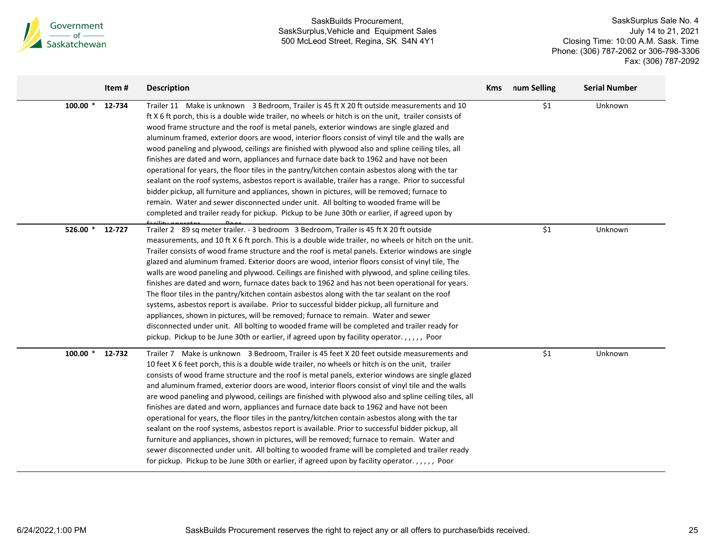

|            | Item#  | <b>Description</b>                                                                                                                                                                                                                                                                                                                                                                                                                                                                                                                                                                                                                                                                                                                                                                                                                                                                                                                                                                                                                                                                                                     | <b>Kms</b> | num Selling | <b>Serial Number</b> |
|------------|--------|------------------------------------------------------------------------------------------------------------------------------------------------------------------------------------------------------------------------------------------------------------------------------------------------------------------------------------------------------------------------------------------------------------------------------------------------------------------------------------------------------------------------------------------------------------------------------------------------------------------------------------------------------------------------------------------------------------------------------------------------------------------------------------------------------------------------------------------------------------------------------------------------------------------------------------------------------------------------------------------------------------------------------------------------------------------------------------------------------------------------|------------|-------------|----------------------|
| $100.00*$  | 12-734 | Trailer 11 Make is unknown 3 Bedroom, Trailer is 45 ft X 20 ft outside measurements and 10<br>ft X 6 ft porch, this is a double wide trailer, no wheels or hitch is on the unit, trailer consists of<br>wood frame structure and the roof is metal panels, exterior windows are single glazed and<br>aluminum framed, exterior doors are wood, interior floors consist of vinyl tile and the walls are<br>wood paneling and plywood, ceilings are finished with plywood also and spline ceiling tiles, all<br>finishes are dated and worn, appliances and furnace date back to 1962 and have not been<br>operational for years, the floor tiles in the pantry/kitchen contain asbestos along with the tar<br>sealant on the roof systems, asbestos report is available, trailer has a range. Prior to successful<br>bidder pickup, all furniture and appliances, shown in pictures, will be removed; furnace to<br>remain. Water and sewer disconnected under unit. All bolting to wooded frame will be<br>completed and trailer ready for pickup. Pickup to be June 30th or earlier, if agreed upon by                |            | \$1         | Unknown              |
| 526.00 $*$ | 12-727 | Trailer 2 89 sq meter trailer. - 3 bedroom 3 Bedroom, Trailer is 45 ft X 20 ft outside<br>measurements, and 10 ft X 6 ft porch. This is a double wide trailer, no wheels or hitch on the unit.<br>Trailer consists of wood frame structure and the roof is metal panels. Exterior windows are single<br>glazed and aluminum framed. Exterior doors are wood, interior floors consist of vinyl tile, The<br>walls are wood paneling and plywood. Ceilings are finished with plywood, and spline ceiling tiles.<br>finishes are dated and worn, furnace dates back to 1962 and has not been operational for years.<br>The floor tiles in the pantry/kitchen contain asbestos along with the tar sealant on the roof<br>systems, asbestos report is availabe. Prior to successful bidder pickup, all furniture and<br>appliances, shown in pictures, will be removed; furnace to remain. Water and sewer<br>disconnected under unit. All bolting to wooded frame will be completed and trailer ready for<br>pickup. Pickup to be June 30th or earlier, if agreed upon by facility operator.,,,,, Poor                     |            | \$1         | Unknown              |
| $100.00*$  | 12-732 | Trailer 7 Make is unknown 3 Bedroom, Trailer is 45 feet X 20 feet outside measurements and<br>10 feet X 6 feet porch, this is a double wide trailer, no wheels or hitch is on the unit, trailer<br>consists of wood frame structure and the roof is metal panels, exterior windows are single glazed<br>and aluminum framed, exterior doors are wood, interior floors consist of vinyl tile and the walls<br>are wood paneling and plywood, ceilings are finished with plywood also and spline ceiling tiles, all<br>finishes are dated and worn, appliances and furnace date back to 1962 and have not been<br>operational for years, the floor tiles in the pantry/kitchen contain asbestos along with the tar<br>sealant on the roof systems, asbestos report is available. Prior to successful bidder pickup, all<br>furniture and appliances, shown in pictures, will be removed; furnace to remain. Water and<br>sewer disconnected under unit. All bolting to wooded frame will be completed and trailer ready<br>for pickup. Pickup to be June 30th or earlier, if agreed upon by facility operator.,,,,, Poor |            | \$1         | Unknown              |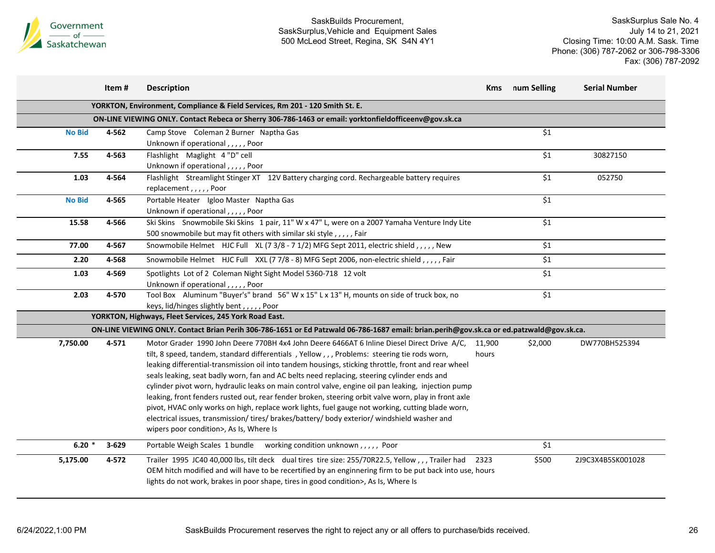

|               | Item#     | <b>Description</b>                                                                                                                       | Kms    | num Selling | <b>Serial Number</b> |
|---------------|-----------|------------------------------------------------------------------------------------------------------------------------------------------|--------|-------------|----------------------|
|               |           | YORKTON, Environment, Compliance & Field Services, Rm 201 - 120 Smith St. E.                                                             |        |             |                      |
|               |           | ON-LINE VIEWING ONLY. Contact Rebeca or Sherry 306-786-1463 or email: yorktonfieldofficeenv@gov.sk.ca                                    |        |             |                      |
| <b>No Bid</b> | 4-562     | Camp Stove Coleman 2 Burner Naptha Gas                                                                                                   |        | \$1         |                      |
|               |           | Unknown if operational,,,,,Poor                                                                                                          |        |             |                      |
| 7.55          | 4-563     | Flashlight Maglight 4 "D" cell                                                                                                           |        | \$1         | 30827150             |
|               |           | Unknown if operational,,,,,Poor                                                                                                          |        |             |                      |
| 1.03          | 4-564     | Flashlight Streamlight Stinger XT 12V Battery charging cord. Rechargeable battery requires                                               |        | \$1         | 052750               |
|               |           | replacement,,,,,Poor                                                                                                                     |        |             |                      |
| <b>No Bid</b> | 4-565     | Portable Heater Igloo Master Naptha Gas                                                                                                  |        | \$1         |                      |
|               |           | Unknown if operational,,,,,Poor                                                                                                          |        |             |                      |
| 15.58         | 4-566     | Ski Skins Snowmobile Ski Skins 1 pair, 11" W x 47" L, were on a 2007 Yamaha Venture Indy Lite                                            |        | \$1         |                      |
|               |           | 500 snowmobile but may fit others with similar ski style,,,,,, Fair                                                                      |        |             |                      |
| 77.00         | 4-567     | Snowmobile Helmet HJC Full XL (7 3/8 - 7 1/2) MFG Sept 2011, electric shield, , , , , New                                                |        | \$1         |                      |
| 2.20          | 4-568     | Snowmobile Helmet HJC Full XXL (77/8 - 8) MFG Sept 2006, non-electric shield,,,,,,Fair                                                   |        | \$1         |                      |
| 1.03          | 4-569     | Spotlights Lot of 2 Coleman Night Sight Model 5360-718 12 volt                                                                           |        | \$1         |                      |
|               |           | Unknown if operational,,,,,Poor                                                                                                          |        |             |                      |
| 2.03          | 4-570     | Tool Box Aluminum "Buyer's" brand 56" W x 15" L x 13" H, mounts on side of truck box, no                                                 |        | \$1         |                      |
|               |           | keys, lid/hinges slightly bent,,,,,Poor                                                                                                  |        |             |                      |
|               |           | YORKTON, Highways, Fleet Services, 245 York Road East.                                                                                   |        |             |                      |
|               |           | ON-LINE VIEWING ONLY. Contact Brian Perih 306-786-1651 or Ed Patzwald 06-786-1687 email: brian.perih@gov.sk.ca or ed.patzwald@gov.sk.ca. |        |             |                      |
| 7,750.00      | 4-571     | Motor Grader 1990 John Deere 770BH 4x4 John Deere 6466AT 6 Inline Diesel Direct Drive A/C,                                               | 11,900 | \$2,000     | DW770BH525394        |
|               |           | tilt, 8 speed, tandem, standard differentials, Yellow,,, Problems: steering tie rods worn,                                               | hours  |             |                      |
|               |           | leaking differential-transmission oil into tandem housings, sticking throttle, front and rear wheel                                      |        |             |                      |
|               |           | seals leaking, seat badly worn, fan and AC belts need replacing, steering cylinder ends and                                              |        |             |                      |
|               |           | cylinder pivot worn, hydraulic leaks on main control valve, engine oil pan leaking, injection pump                                       |        |             |                      |
|               |           | leaking, front fenders rusted out, rear fender broken, steering orbit valve worn, play in front axle                                     |        |             |                      |
|               |           | pivot, HVAC only works on high, replace work lights, fuel gauge not working, cutting blade worn,                                         |        |             |                      |
|               |           | electrical issues, transmission/tires/brakes/battery/body exterior/windshield washer and                                                 |        |             |                      |
|               |           | wipers poor condition>, As Is, Where Is                                                                                                  |        |             |                      |
| $6.20*$       | $3 - 629$ | Portable Weigh Scales 1 bundle working condition unknown,,,,, Poor                                                                       |        | \$1         |                      |
| 5,175.00      | 4-572     | Trailer 1995 JC40 40,000 lbs, tilt deck dual tires tire size: 255/70R22.5, Yellow,,,Trailer had                                          | 2323   | \$500       | 2J9C3X4B5SK001028    |
|               |           | OEM hitch modified and will have to be recertified by an enginnering firm to be put back into use, hours                                 |        |             |                      |
|               |           |                                                                                                                                          |        |             |                      |